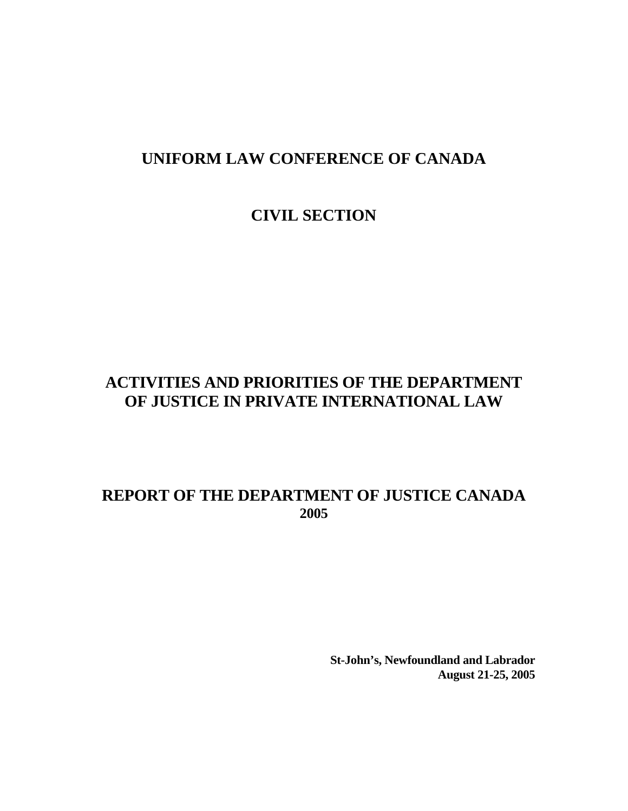# **CIVIL SECTION**

# **ACTIVITIES AND PRIORITIES OF THE DEPARTMENT OF JUSTICE IN PRIVATE INTERNATIONAL LAW**

# **REPORT OF THE DEPARTMENT OF JUSTICE CANADA 2005**

**St-John's, Newfoundland and Labrador August 21-25, 2005**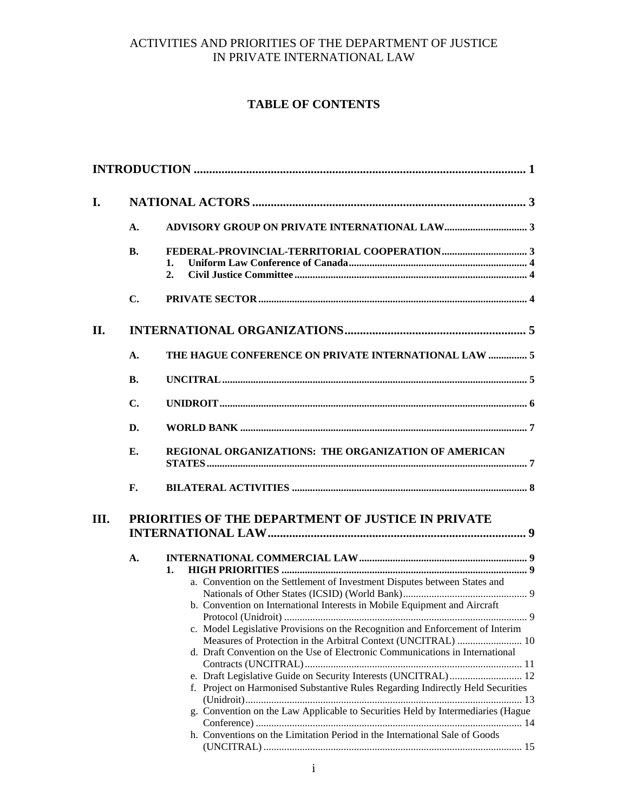# **TABLE OF CONTENTS**

| I.   |                |                                                                                                                                                                                                                                                                                                                                                                                                                                                                                                                                                                                                                                                                                                                      |  |  |  |  |
|------|----------------|----------------------------------------------------------------------------------------------------------------------------------------------------------------------------------------------------------------------------------------------------------------------------------------------------------------------------------------------------------------------------------------------------------------------------------------------------------------------------------------------------------------------------------------------------------------------------------------------------------------------------------------------------------------------------------------------------------------------|--|--|--|--|
|      | A.             |                                                                                                                                                                                                                                                                                                                                                                                                                                                                                                                                                                                                                                                                                                                      |  |  |  |  |
|      | <b>B.</b>      | 1.<br>2.                                                                                                                                                                                                                                                                                                                                                                                                                                                                                                                                                                                                                                                                                                             |  |  |  |  |
|      | C.             |                                                                                                                                                                                                                                                                                                                                                                                                                                                                                                                                                                                                                                                                                                                      |  |  |  |  |
| II.  |                |                                                                                                                                                                                                                                                                                                                                                                                                                                                                                                                                                                                                                                                                                                                      |  |  |  |  |
|      | $\mathbf{A}$ . | THE HAGUE CONFERENCE ON PRIVATE INTERNATIONAL LAW  5                                                                                                                                                                                                                                                                                                                                                                                                                                                                                                                                                                                                                                                                 |  |  |  |  |
|      | В.             |                                                                                                                                                                                                                                                                                                                                                                                                                                                                                                                                                                                                                                                                                                                      |  |  |  |  |
|      | C.             |                                                                                                                                                                                                                                                                                                                                                                                                                                                                                                                                                                                                                                                                                                                      |  |  |  |  |
|      | D.             |                                                                                                                                                                                                                                                                                                                                                                                                                                                                                                                                                                                                                                                                                                                      |  |  |  |  |
|      | Е.             | REGIONAL ORGANIZATIONS: THE ORGANIZATION OF AMERICAN                                                                                                                                                                                                                                                                                                                                                                                                                                                                                                                                                                                                                                                                 |  |  |  |  |
|      | F.             |                                                                                                                                                                                                                                                                                                                                                                                                                                                                                                                                                                                                                                                                                                                      |  |  |  |  |
| III. |                | PRIORITIES OF THE DEPARTMENT OF JUSTICE IN PRIVATE                                                                                                                                                                                                                                                                                                                                                                                                                                                                                                                                                                                                                                                                   |  |  |  |  |
|      | A.             |                                                                                                                                                                                                                                                                                                                                                                                                                                                                                                                                                                                                                                                                                                                      |  |  |  |  |
|      |                | 1.<br>a. Convention on the Settlement of Investment Disputes between States and<br>b. Convention on International Interests in Mobile Equipment and Aircraft<br>c. Model Legislative Provisions on the Recognition and Enforcement of Interim<br>Measures of Protection in the Arbitral Context (UNCITRAL)  10<br>d. Draft Convention on the Use of Electronic Communications in International<br>e. Draft Legislative Guide on Security Interests (UNCITRAL) 12<br>f. Project on Harmonised Substantive Rules Regarding Indirectly Held Securities<br>g. Convention on the Law Applicable to Securities Held by Intermediaries (Hague<br>h. Conventions on the Limitation Period in the International Sale of Goods |  |  |  |  |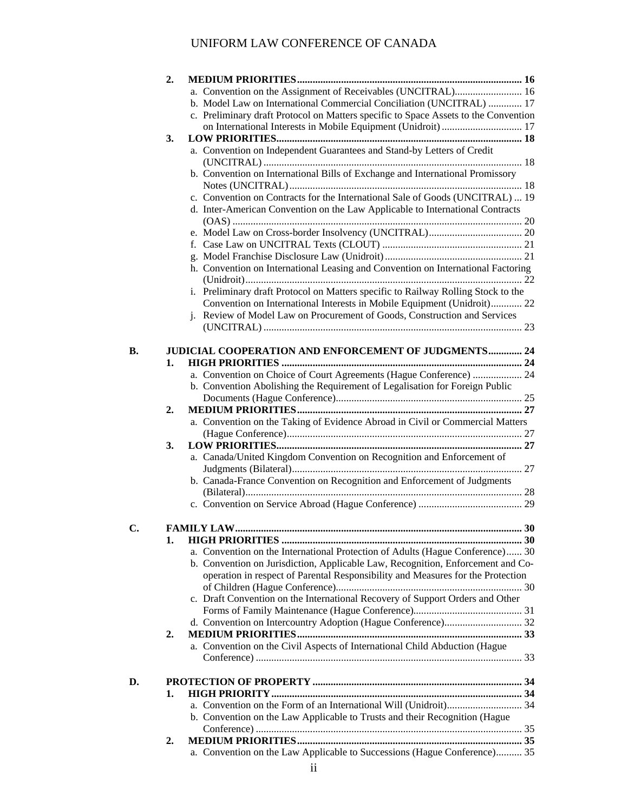|    | 2. |                                                                                     |  |
|----|----|-------------------------------------------------------------------------------------|--|
|    |    | a. Convention on the Assignment of Receivables (UNCITRAL) 16                        |  |
|    |    | b. Model Law on International Commercial Conciliation (UNCITRAL)  17                |  |
|    |    | c. Preliminary draft Protocol on Matters specific to Space Assets to the Convention |  |
|    |    | on International Interests in Mobile Equipment (Unidroit)  17                       |  |
|    | 3. |                                                                                     |  |
|    |    | a. Convention on Independent Guarantees and Stand-by Letters of Credit              |  |
|    |    |                                                                                     |  |
|    |    | b. Convention on International Bills of Exchange and International Promissory       |  |
|    |    |                                                                                     |  |
|    |    | c. Convention on Contracts for the International Sale of Goods (UNCITRAL)  19       |  |
|    |    | d. Inter-American Convention on the Law Applicable to International Contracts       |  |
|    |    |                                                                                     |  |
|    |    |                                                                                     |  |
|    |    |                                                                                     |  |
|    |    |                                                                                     |  |
|    |    | h. Convention on International Leasing and Convention on International Factoring    |  |
|    |    |                                                                                     |  |
|    |    | i. Preliminary draft Protocol on Matters specific to Railway Rolling Stock to the   |  |
|    |    | Convention on International Interests in Mobile Equipment (Unidroit) 22             |  |
|    |    | j. Review of Model Law on Procurement of Goods, Construction and Services           |  |
|    |    |                                                                                     |  |
|    |    |                                                                                     |  |
| В. |    | <b>JUDICIAL COOPERATION AND ENFORCEMENT OF JUDGMENTS 24</b>                         |  |
|    | 1. |                                                                                     |  |
|    |    | a. Convention on Choice of Court Agreements (Hague Conference)  24                  |  |
|    |    | b. Convention Abolishing the Requirement of Legalisation for Foreign Public         |  |
|    |    |                                                                                     |  |
|    | 2. |                                                                                     |  |
|    |    | a. Convention on the Taking of Evidence Abroad in Civil or Commercial Matters       |  |
|    |    |                                                                                     |  |
|    | 3. |                                                                                     |  |
|    |    | a. Canada/United Kingdom Convention on Recognition and Enforcement of               |  |
|    |    |                                                                                     |  |
|    |    | b. Canada-France Convention on Recognition and Enforcement of Judgments             |  |
|    |    |                                                                                     |  |
|    |    |                                                                                     |  |
| C. |    |                                                                                     |  |
|    | 1. |                                                                                     |  |
|    |    | a. Convention on the International Protection of Adults (Hague Conference) 30       |  |
|    |    | b. Convention on Jurisdiction, Applicable Law, Recognition, Enforcement and Co-     |  |
|    |    | operation in respect of Parental Responsibility and Measures for the Protection     |  |
|    |    |                                                                                     |  |
|    |    | c. Draft Convention on the International Recovery of Support Orders and Other       |  |
|    |    |                                                                                     |  |
|    |    |                                                                                     |  |
|    | 2. |                                                                                     |  |
|    |    | a. Convention on the Civil Aspects of International Child Abduction (Hague          |  |
|    |    |                                                                                     |  |
|    |    |                                                                                     |  |
| D. |    |                                                                                     |  |
|    | 1. |                                                                                     |  |
|    |    |                                                                                     |  |
|    |    | b. Convention on the Law Applicable to Trusts and their Recognition (Hague          |  |
|    |    |                                                                                     |  |
|    | 2. |                                                                                     |  |
|    |    | a. Convention on the Law Applicable to Successions (Hague Conference) 35            |  |
|    |    |                                                                                     |  |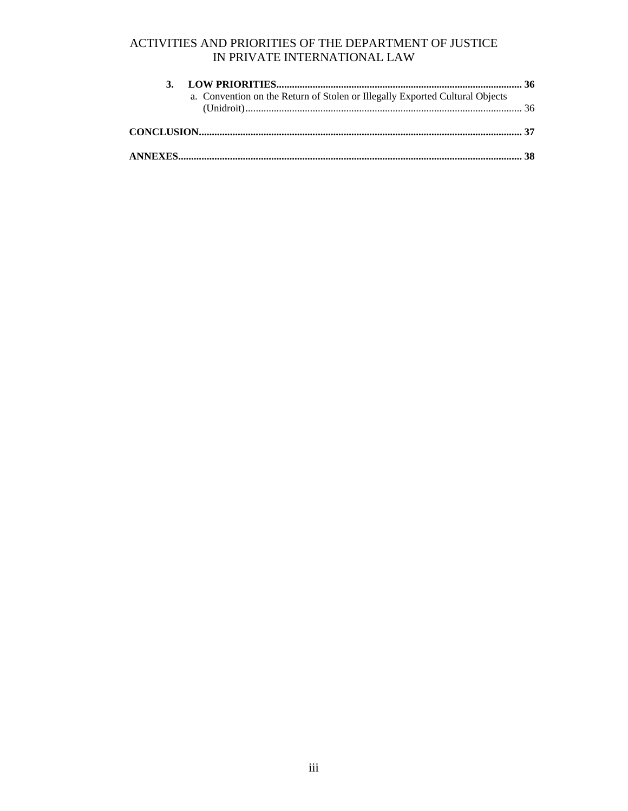| a. Convention on the Return of Stolen or Illegally Exported Cultural Objects |  |
|------------------------------------------------------------------------------|--|
|                                                                              |  |
|                                                                              |  |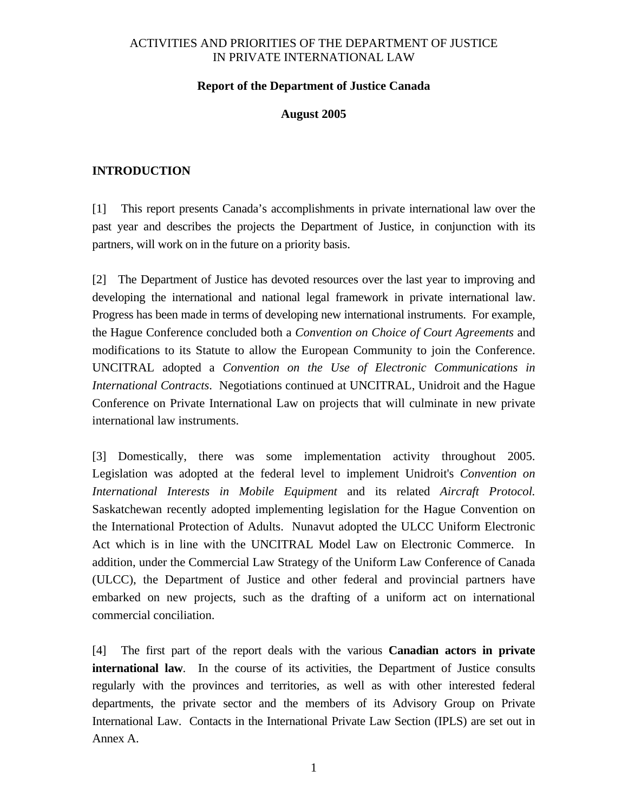#### **Report of the Department of Justice Canada**

#### **August 2005**

#### <span id="page-4-0"></span>**INTRODUCTION**

[1] This report presents Canada's accomplishments in private international law over the past year and describes the projects the Department of Justice, in conjunction with its partners, will work on in the future on a priority basis.

[2] The Department of Justice has devoted resources over the last year to improving and developing the international and national legal framework in private international law. Progress has been made in terms of developing new international instruments. For example, the Hague Conference concluded both a *Convention on Choice of Court Agreements* and modifications to its Statute to allow the European Community to join the Conference. UNCITRAL adopted a *Convention on the Use of Electronic Communications in International Contracts*. Negotiations continued at UNCITRAL, Unidroit and the Hague Conference on Private International Law on projects that will culminate in new private international law instruments.

[3] Domestically, there was some implementation activity throughout 2005. Legislation was adopted at the federal level to implement Unidroit's *Convention on International Interests in Mobile Equipment* and its related *Aircraft Protocol.* Saskatchewan recently adopted implementing legislation for the Hague Convention on the International Protection of Adults. Nunavut adopted the ULCC Uniform Electronic Act which is in line with the UNCITRAL Model Law on Electronic Commerce. In addition, under the Commercial Law Strategy of the Uniform Law Conference of Canada (ULCC), the Department of Justice and other federal and provincial partners have embarked on new projects, such as the drafting of a uniform act on international commercial conciliation.

[4] The first part of the report deals with the various **Canadian actors in private international law**. In the course of its activities, the Department of Justice consults regularly with the provinces and territories, as well as with other interested federal departments, the private sector and the members of its Advisory Group on Private International Law. Contacts in the International Private Law Section (IPLS) are set out in Annex A.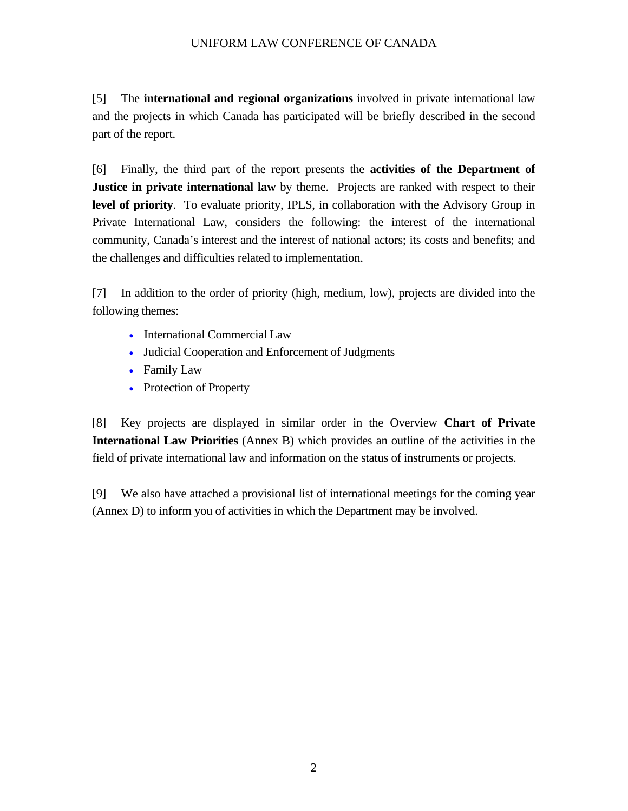[5] The **international and regional organizations** involved in private international law and the projects in which Canada has participated will be briefly described in the second part of the report.

[6] Finally, the third part of the report presents the **activities of the Department of Justice in private international law** by theme. Projects are ranked with respect to their **level of priority**. To evaluate priority, IPLS, in collaboration with the Advisory Group in Private International Law, considers the following: the interest of the international community, Canada's interest and the interest of national actors; its costs and benefits; and the challenges and difficulties related to implementation.

[7] In addition to the order of priority (high, medium, low), projects are divided into the following themes:

- International Commercial Law
- Judicial Cooperation and Enforcement of Judgments
- Family Law
- Protection of Property

[8] Key projects are displayed in similar order in the Overview **Chart of Private International Law Priorities** (Annex B) which provides an outline of the activities in the field of private international law and information on the status of instruments or projects.

[9] We also have attached a provisional list of international meetings for the coming year (Annex D) to inform you of activities in which the Department may be involved.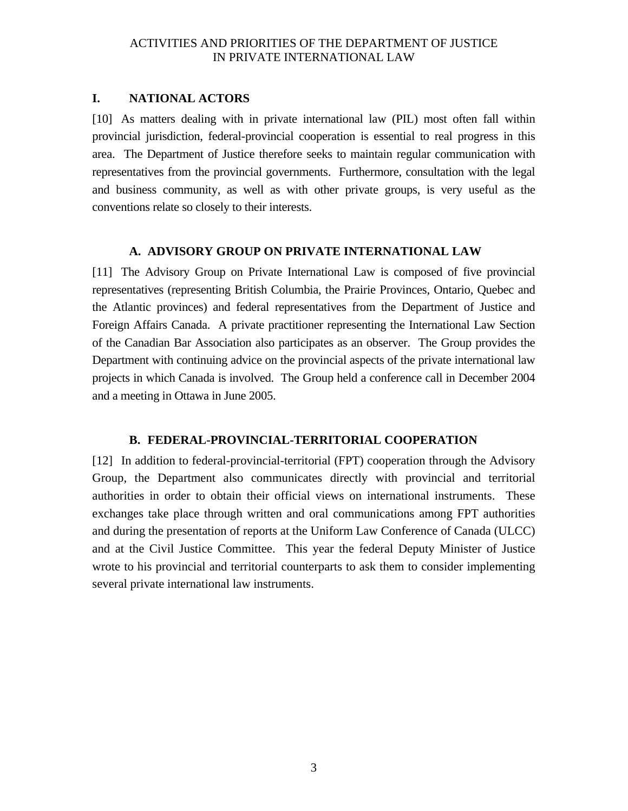#### <span id="page-6-0"></span>**I. NATIONAL ACTORS**

[10] As matters dealing with in private international law (PIL) most often fall within provincial jurisdiction, federal-provincial cooperation is essential to real progress in this area. The Department of Justice therefore seeks to maintain regular communication with representatives from the provincial governments. Furthermore, consultation with the legal and business community, as well as with other private groups, is very useful as the conventions relate so closely to their interests.

#### **A. ADVISORY GROUP ON PRIVATE INTERNATIONAL LAW**

[11] The Advisory Group on Private International Law is composed of five provincial representatives (representing British Columbia, the Prairie Provinces, Ontario, Quebec and the Atlantic provinces) and federal representatives from the Department of Justice and Foreign Affairs Canada. A private practitioner representing the International Law Section of the Canadian Bar Association also participates as an observer. The Group provides the Department with continuing advice on the provincial aspects of the private international law projects in which Canada is involved. The Group held a conference call in December 2004 and a meeting in Ottawa in June 2005.

#### **B. FEDERAL-PROVINCIAL-TERRITORIAL COOPERATION**

[12] In addition to federal-provincial-territorial (FPT) cooperation through the Advisory Group, the Department also communicates directly with provincial and territorial authorities in order to obtain their official views on international instruments. These exchanges take place through written and oral communications among FPT authorities and during the presentation of reports at the Uniform Law Conference of Canada (ULCC) and at the Civil Justice Committee. This year the federal Deputy Minister of Justice wrote to his provincial and territorial counterparts to ask them to consider implementing several private international law instruments.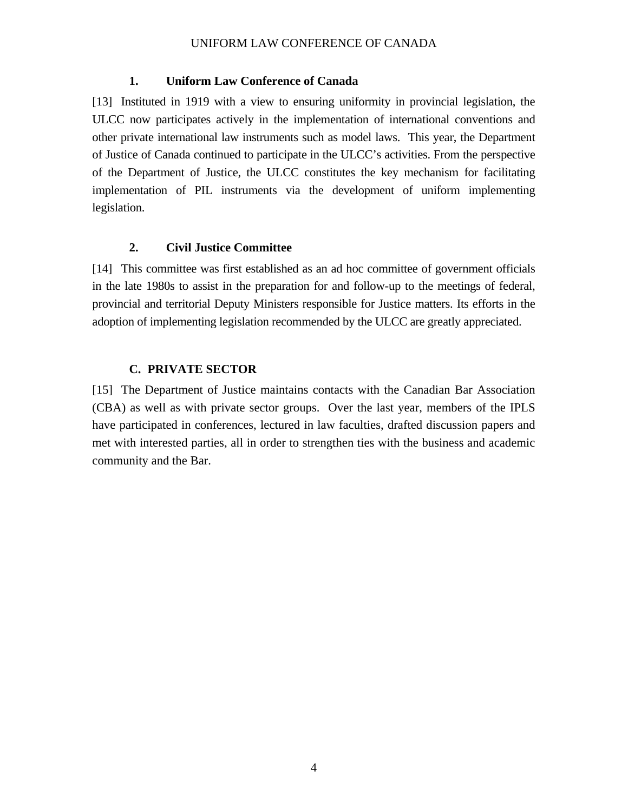#### **1. Uniform Law Conference of Canada**

<span id="page-7-0"></span>[13] Instituted in 1919 with a view to ensuring uniformity in provincial legislation, the ULCC now participates actively in the implementation of international conventions and other private international law instruments such as model laws. This year, the Department of Justice of Canada continued to participate in the ULCC's activities. From the perspective of the Department of Justice, the ULCC constitutes the key mechanism for facilitating implementation of PIL instruments via the development of uniform implementing legislation.

#### **2. Civil Justice Committee**

[14] This committee was first established as an ad hoc committee of government officials in the late 1980s to assist in the preparation for and follow-up to the meetings of federal, provincial and territorial Deputy Ministers responsible for Justice matters. Its efforts in the adoption of implementing legislation recommended by the ULCC are greatly appreciated.

#### **C. PRIVATE SECTOR**

[15] The Department of Justice maintains contacts with the Canadian Bar Association (CBA) as well as with private sector groups. Over the last year, members of the IPLS have participated in conferences, lectured in law faculties, drafted discussion papers and met with interested parties, all in order to strengthen ties with the business and academic community and the Bar.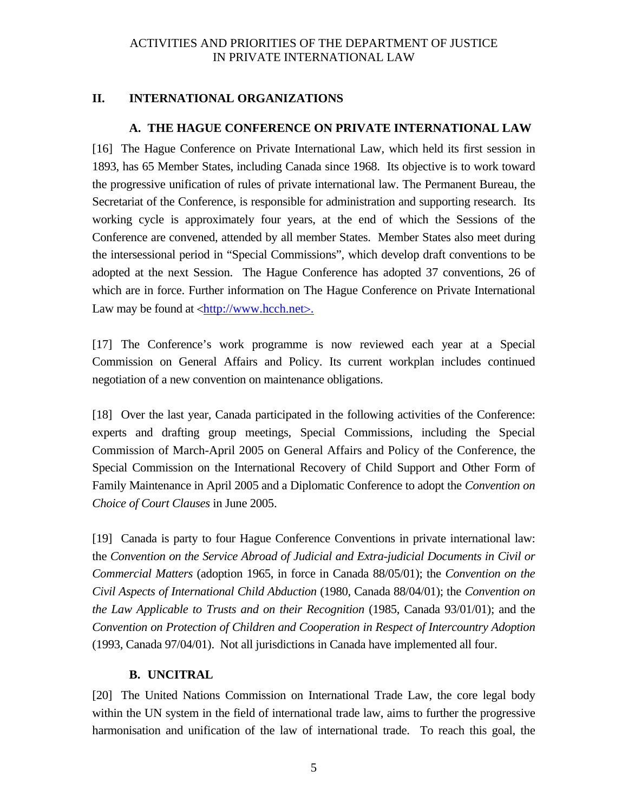### <span id="page-8-0"></span>**II. INTERNATIONAL ORGANIZATIONS**

### **A. THE HAGUE CONFERENCE ON PRIVATE INTERNATIONAL LAW**

[16] The Hague Conference on Private International Law, which held its first session in 1893, has 65 Member States, including Canada since 1968. Its objective is to work toward the progressive unification of rules of private international law. The Permanent Bureau, the Secretariat of the Conference, is responsible for administration and supporting research. Its working cycle is approximately four years, at the end of which the Sessions of the Conference are convened, attended by all member States. Member States also meet during the intersessional period in "Special Commissions", which develop draft conventions to be adopted at the next Session. The Hague Conference has adopted 37 conventions, 26 of which are in force. Further information on The Hague Conference on Private International Law may be found at  $\langle \frac{http://www.hcch.net\rangle}{http://www.hcch.net\rangle}$  $\langle \frac{http://www.hcch.net\rangle}{http://www.hcch.net\rangle}$  $\langle \frac{http://www.hcch.net\rangle}{http://www.hcch.net\rangle}$ .

[17] The Conference's work programme is now reviewed each year at a Special Commission on General Affairs and Policy. Its current workplan includes continued negotiation of a new convention on maintenance obligations.

[18] Over the last year, Canada participated in the following activities of the Conference: experts and drafting group meetings, Special Commissions, including the Special Commission of March-April 2005 on General Affairs and Policy of the Conference, the Special Commission on the International Recovery of Child Support and Other Form of Family Maintenance in April 2005 and a Diplomatic Conference to adopt the *Convention on Choice of Court Clauses* in June 2005.

[19] Canada is party to four Hague Conference Conventions in private international law: the *Convention on the Service Abroad of Judicial and Extra-judicial Documents in Civil or Commercial Matters* (adoption 1965, in force in Canada 88/05/01); the *Convention on the Civil Aspects of International Child Abduction* (1980, Canada 88/04/01); the *Convention on the Law Applicable to Trusts and on their Recognition* (1985, Canada 93/01/01); and the *Convention on Protection of Children and Cooperation in Respect of Intercountry Adoption*  (1993, Canada 97/04/01). Not all jurisdictions in Canada have implemented all four.

### **B. UNCITRAL**

[20] The United Nations Commission on International Trade Law, the core legal body within the UN system in the field of international trade law, aims to further the progressive harmonisation and unification of the law of international trade. To reach this goal, the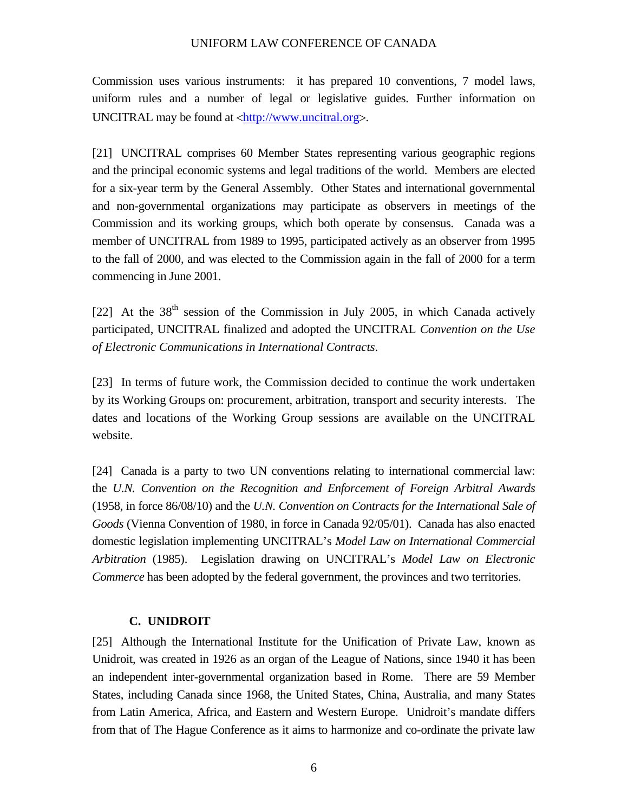<span id="page-9-0"></span>Commission uses various instruments: it has prepared 10 conventions, 7 model laws, uniform rules and a number of legal or legislative guides. Further information on UNCITRAL may be found at <http://www.uncitral.org>.

[21] UNCITRAL comprises 60 Member States representing various geographic regions and the principal economic systems and legal traditions of the world. Members are elected for a six-year term by the General Assembly. Other States and international governmental and non-governmental organizations may participate as observers in meetings of the Commission and its working groups, which both operate by consensus. Canada was a member of UNCITRAL from 1989 to 1995, participated actively as an observer from 1995 to the fall of 2000, and was elected to the Commission again in the fall of 2000 for a term commencing in June 2001.

[22] At the  $38<sup>th</sup>$  session of the Commission in July 2005, in which Canada actively participated, UNCITRAL finalized and adopted the UNCITRAL *Convention on the Use of Electronic Communications in International Contracts*.

[23] In terms of future work, the Commission decided to continue the work undertaken by its Working Groups on: procurement, arbitration, transport and security interests. The dates and locations of the Working Group sessions are available on the UNCITRAL website.

[24] Canada is a party to two UN conventions relating to international commercial law: the *U.N. Convention on the Recognition and Enforcement of Foreign Arbitral Awards* (1958, in force 86/08/10) and the *U.N. Convention on Contracts for the International Sale of Goods* (Vienna Convention of 1980, in force in Canada 92/05/01). Canada has also enacted domestic legislation implementing UNCITRAL's *Model Law on International Commercial Arbitration* (1985). Legislation drawing on UNCITRAL's *Model Law on Electronic Commerce* has been adopted by the federal government, the provinces and two territories.

#### **C. UNIDROIT**

[25] Although the International Institute for the Unification of Private Law, known as Unidroit, was created in 1926 as an organ of the League of Nations, since 1940 it has been an independent inter-governmental organization based in Rome. There are 59 Member States, including Canada since 1968, the United States, China, Australia, and many States from Latin America, Africa, and Eastern and Western Europe. Unidroit's mandate differs from that of The Hague Conference as it aims to harmonize and co-ordinate the private law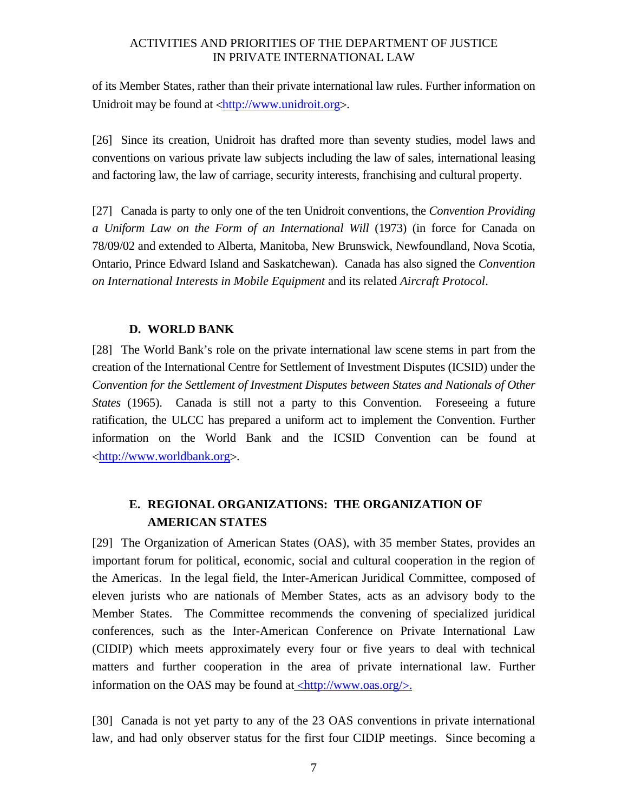<span id="page-10-0"></span>of its Member States, rather than their private international law rules. Further information on Unidroit may be found at <http://www.unidroit.org>.

[26] Since its creation, Unidroit has drafted more than seventy studies, model laws and conventions on various private law subjects including the law of sales, international leasing and factoring law, the law of carriage, security interests, franchising and cultural property.

[27] Canada is party to only one of the ten Unidroit conventions, the *Convention Providing a Uniform Law on the Form of an International Will* (1973) (in force for Canada on 78/09/02 and extended to Alberta, Manitoba, New Brunswick, Newfoundland, Nova Scotia, Ontario, Prince Edward Island and Saskatchewan). Canada has also signed the *Convention on International Interests in Mobile Equipment* and its related *Aircraft Protocol*.

#### **D. WORLD BANK**

[28] The World Bank's role on the private international law scene stems in part from the creation of the International Centre for Settlement of Investment Disputes (ICSID) under the *Convention for the Settlement of Investment Disputes between States and Nationals of Other States* (1965). Canada is still not a party to this Convention. Foreseeing a future ratification, the ULCC has prepared a uniform act to implement the Convention. Further information on the World Bank and the ICSID Convention can be found at <http://www.worldbank.org>.

# **E. REGIONAL ORGANIZATIONS: THE ORGANIZATION OF AMERICAN STATES**

[29] The Organization of American States (OAS), with 35 member States, provides an important forum for political, economic, social and cultural cooperation in the region of the Americas. In the legal field, the Inter-American Juridical Committee, composed of eleven jurists who are nationals of Member States, acts as an advisory body to the Member States. The Committee recommends the convening of specialized juridical conferences, such as the Inter-American Conference on Private International Law (CIDIP) which meets approximately every four or five years to deal with technical matters and further cooperation in the area of private international law. Further information on the OAS may be found at  $\langle \frac{http://www.oas.org}{\rangle}$ .

[30] Canada is not yet party to any of the 23 OAS conventions in private international law, and had only observer status for the first four CIDIP meetings. Since becoming a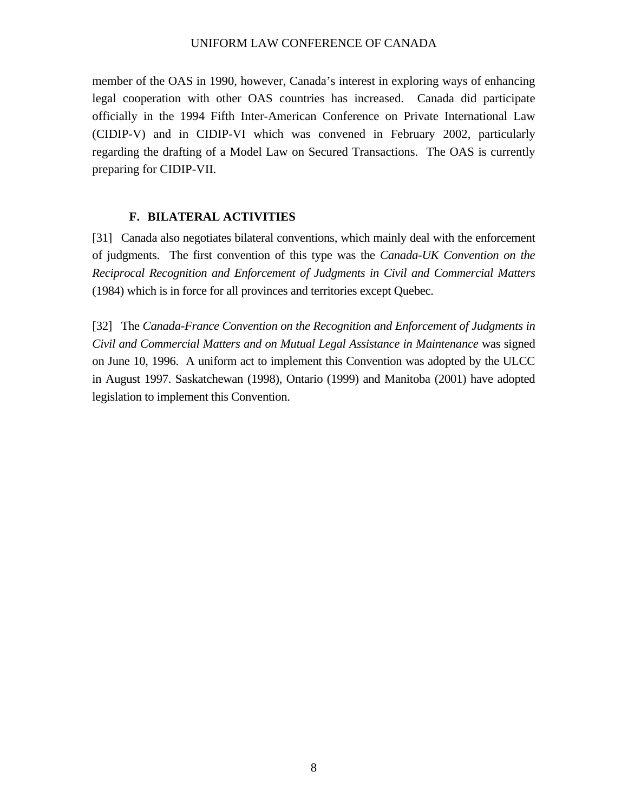<span id="page-11-0"></span>member of the OAS in 1990, however, Canada's interest in exploring ways of enhancing legal cooperation with other OAS countries has increased. Canada did participate officially in the 1994 Fifth Inter-American Conference on Private International Law (CIDIP-V) and in CIDIP-VI which was convened in February 2002, particularly regarding the drafting of a Model Law on Secured Transactions. The OAS is currently preparing for CIDIP-VII.

#### **F. BILATERAL ACTIVITIES**

[31] Canada also negotiates bilateral conventions, which mainly deal with the enforcement of judgments. The first convention of this type was the *Canada-UK Convention on the Reciprocal Recognition and Enforcement of Judgments in Civil and Commercial Matters* (1984) which is in force for all provinces and territories except Quebec.

[32] The *Canada-France Convention on the Recognition and Enforcement of Judgments in Civil and Commercial Matters and on Mutual Legal Assistance in Maintenance* was signed on June 10, 1996. A uniform act to implement this Convention was adopted by the ULCC in August 1997. Saskatchewan (1998), Ontario (1999) and Manitoba (2001) have adopted legislation to implement this Convention.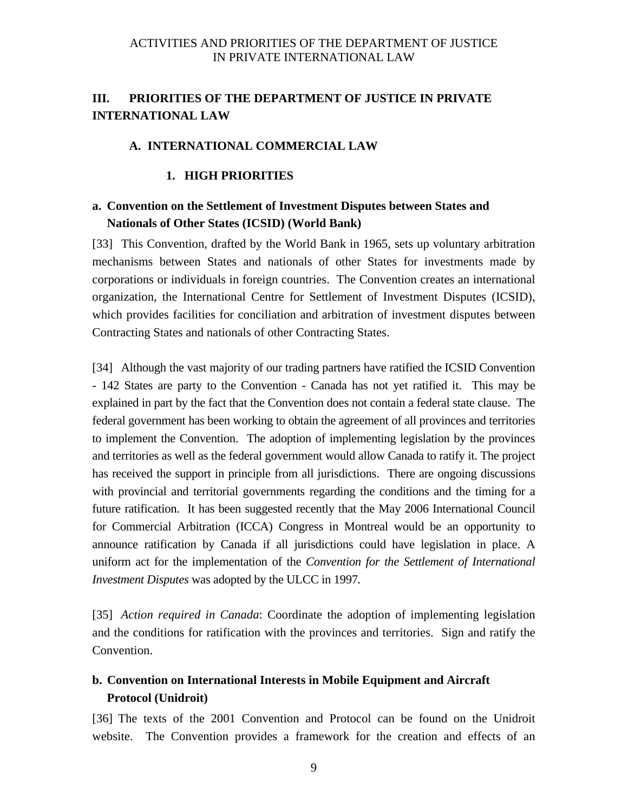#### <span id="page-12-0"></span>**A. INTERNATIONAL COMMERCIAL LAW**

#### **1. HIGH PRIORITIES**

# **a. Convention on the Settlement of Investment Disputes between States and Nationals of Other States (ICSID) (World Bank)**

[33] This Convention, drafted by the World Bank in 1965, sets up voluntary arbitration mechanisms between States and nationals of other States for investments made by corporations or individuals in foreign countries. The Convention creates an international organization, the International Centre for Settlement of Investment Disputes (ICSID), which provides facilities for conciliation and arbitration of investment disputes between Contracting States and nationals of other Contracting States.

[34] Although the vast majority of our trading partners have ratified the ICSID Convention - 142 States are party to the Convention - Canada has not yet ratified it. This may be explained in part by the fact that the Convention does not contain a federal state clause. The federal government has been working to obtain the agreement of all provinces and territories to implement the Convention. The adoption of implementing legislation by the provinces and territories as well as the federal government would allow Canada to ratify it. The project has received the support in principle from all jurisdictions. There are ongoing discussions with provincial and territorial governments regarding the conditions and the timing for a future ratification. It has been suggested recently that the May 2006 International Council for Commercial Arbitration (ICCA) Congress in Montreal would be an opportunity to announce ratification by Canada if all jurisdictions could have legislation in place. A uniform act for the implementation of the *Convention for the Settlement of International Investment Disputes* was adopted by the ULCC in 1997*.*

[35] *Action required in Canada*: Coordinate the adoption of implementing legislation and the conditions for ratification with the provinces and territories. Sign and ratify the Convention.

# **b. Convention on International Interests in Mobile Equipment and Aircraft Protocol (Unidroit)**

[36] The texts of the 2001 Convention and Protocol can be found on the Unidroit website. The Convention provides a framework for the creation and effects of an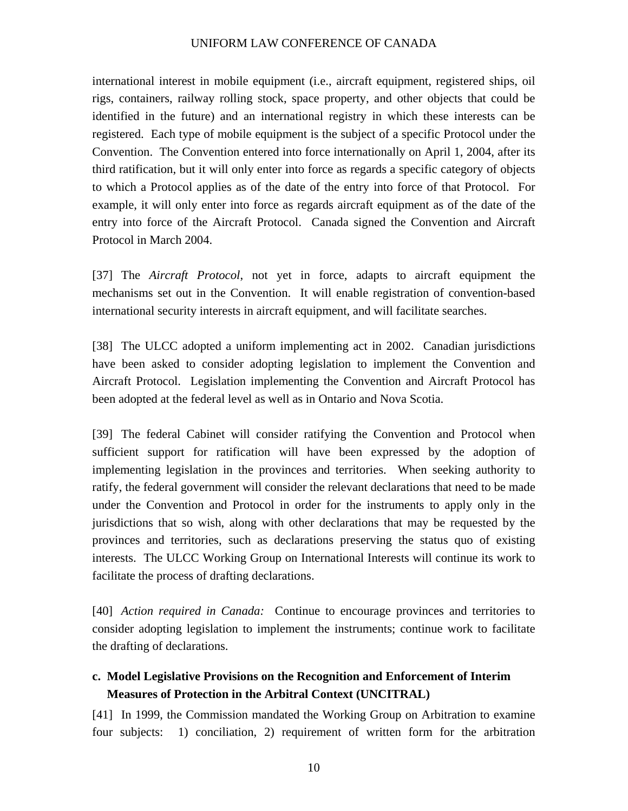<span id="page-13-0"></span>international interest in mobile equipment (i.e., aircraft equipment, registered ships, oil rigs, containers, railway rolling stock, space property, and other objects that could be identified in the future) and an international registry in which these interests can be registered. Each type of mobile equipment is the subject of a specific Protocol under the Convention. The Convention entered into force internationally on April 1, 2004, after its third ratification, but it will only enter into force as regards a specific category of objects to which a Protocol applies as of the date of the entry into force of that Protocol. For example, it will only enter into force as regards aircraft equipment as of the date of the entry into force of the Aircraft Protocol. Canada signed the Convention and Aircraft Protocol in March 2004.

[37] The *Aircraft Protocol*, not yet in force, adapts to aircraft equipment the mechanisms set out in the Convention. It will enable registration of convention-based international security interests in aircraft equipment, and will facilitate searches.

[38] The ULCC adopted a uniform implementing act in 2002. Canadian jurisdictions have been asked to consider adopting legislation to implement the Convention and Aircraft Protocol. Legislation implementing the Convention and Aircraft Protocol has been adopted at the federal level as well as in Ontario and Nova Scotia.

[39] The federal Cabinet will consider ratifying the Convention and Protocol when sufficient support for ratification will have been expressed by the adoption of implementing legislation in the provinces and territories. When seeking authority to ratify, the federal government will consider the relevant declarations that need to be made under the Convention and Protocol in order for the instruments to apply only in the jurisdictions that so wish, along with other declarations that may be requested by the provinces and territories, such as declarations preserving the status quo of existing interests. The ULCC Working Group on International Interests will continue its work to facilitate the process of drafting declarations.

[40] *Action required in Canada:*Continue to encourage provinces and territories to consider adopting legislation to implement the instruments; continue work to facilitate the drafting of declarations.

## **c. Model Legislative Provisions on the Recognition and Enforcement of Interim Measures of Protection in the Arbitral Context (UNCITRAL)**

[41] In 1999, the Commission mandated the Working Group on Arbitration to examine four subjects: 1) conciliation, 2) requirement of written form for the arbitration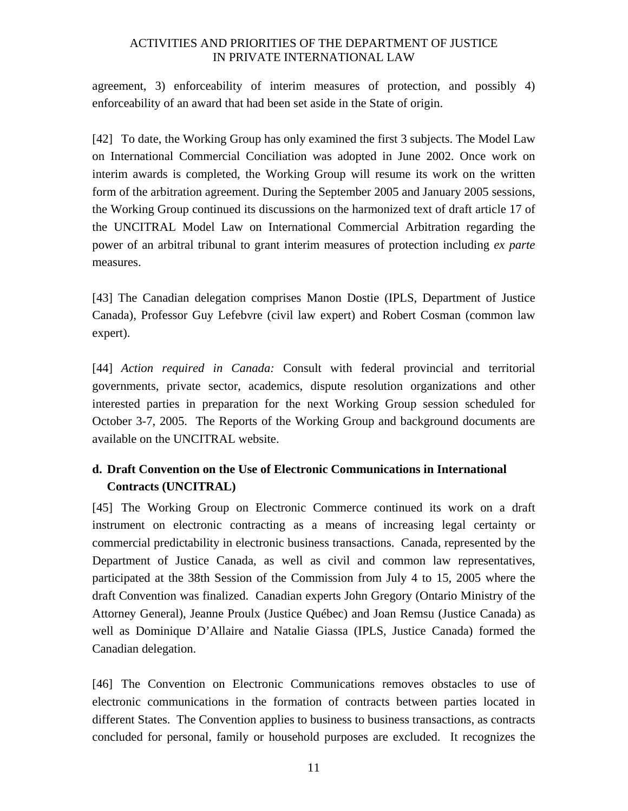<span id="page-14-0"></span>agreement, 3) enforceability of interim measures of protection, and possibly 4) enforceability of an award that had been set aside in the State of origin.

[42] To date, the Working Group has only examined the first 3 subjects. The Model Law on International Commercial Conciliation was adopted in June 2002. Once work on interim awards is completed, the Working Group will resume its work on the written form of the arbitration agreement. During the September 2005 and January 2005 sessions, the Working Group continued its discussions on the harmonized text of draft article 17 of the UNCITRAL Model Law on International Commercial Arbitration regarding the power of an arbitral tribunal to grant interim measures of protection including *ex parte* measures.

[43] The Canadian delegation comprises Manon Dostie (IPLS, Department of Justice Canada), Professor Guy Lefebvre (civil law expert) and Robert Cosman (common law expert).

[44] *Action required in Canada:* Consult with federal provincial and territorial governments, private sector, academics, dispute resolution organizations and other interested parties in preparation for the next Working Group session scheduled for October 3-7, 2005. The Reports of the Working Group and background documents are available on the UNCITRAL website.

# **d. Draft Convention on the Use of Electronic Communications in International Contracts (UNCITRAL)**

[45] The Working Group on Electronic Commerce continued its work on a draft instrument on electronic contracting as a means of increasing legal certainty or commercial predictability in electronic business transactions. Canada, represented by the Department of Justice Canada, as well as civil and common law representatives, participated at the 38th Session of the Commission from July 4 to 15, 2005 where the draft Convention was finalized. Canadian experts John Gregory (Ontario Ministry of the Attorney General), Jeanne Proulx (Justice Québec) and Joan Remsu (Justice Canada) as well as Dominique D'Allaire and Natalie Giassa (IPLS, Justice Canada) formed the Canadian delegation.

[46] The Convention on Electronic Communications removes obstacles to use of electronic communications in the formation of contracts between parties located in different States. The Convention applies to business to business transactions, as contracts concluded for personal, family or household purposes are excluded. It recognizes the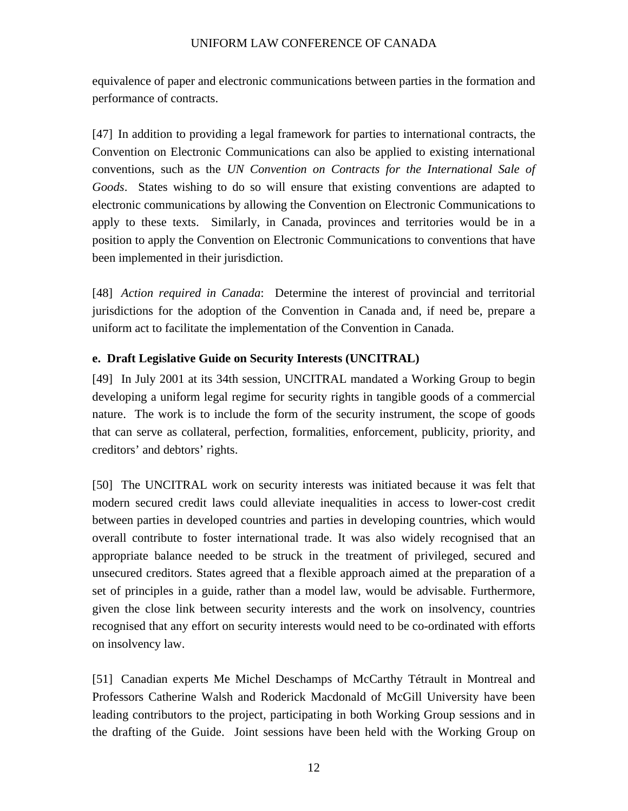<span id="page-15-0"></span>equivalence of paper and electronic communications between parties in the formation and performance of contracts.

[47] In addition to providing a legal framework for parties to international contracts, the Convention on Electronic Communications can also be applied to existing international conventions, such as the *UN Convention on Contracts for the International Sale of Goods*. States wishing to do so will ensure that existing conventions are adapted to electronic communications by allowing the Convention on Electronic Communications to apply to these texts. Similarly, in Canada, provinces and territories would be in a position to apply the Convention on Electronic Communications to conventions that have been implemented in their jurisdiction.

[48] *Action required in Canada*: Determine the interest of provincial and territorial jurisdictions for the adoption of the Convention in Canada and, if need be, prepare a uniform act to facilitate the implementation of the Convention in Canada.

### **e. Draft Legislative Guide on Security Interests (UNCITRAL)**

[49] In July 2001 at its 34th session, UNCITRAL mandated a Working Group to begin developing a uniform legal regime for security rights in tangible goods of a commercial nature. The work is to include the form of the security instrument, the scope of goods that can serve as collateral, perfection, formalities, enforcement, publicity, priority, and creditors' and debtors' rights.

[50] The UNCITRAL work on security interests was initiated because it was felt that modern secured credit laws could alleviate inequalities in access to lower-cost credit between parties in developed countries and parties in developing countries, which would overall contribute to foster international trade. It was also widely recognised that an appropriate balance needed to be struck in the treatment of privileged, secured and unsecured creditors. States agreed that a flexible approach aimed at the preparation of a set of principles in a guide, rather than a model law, would be advisable. Furthermore, given the close link between security interests and the work on insolvency, countries recognised that any effort on security interests would need to be co-ordinated with efforts on insolvency law.

[51] Canadian experts Me Michel Deschamps of McCarthy Tétrault in Montreal and Professors Catherine Walsh and Roderick Macdonald of McGill University have been leading contributors to the project, participating in both Working Group sessions and in the drafting of the Guide. Joint sessions have been held with the Working Group on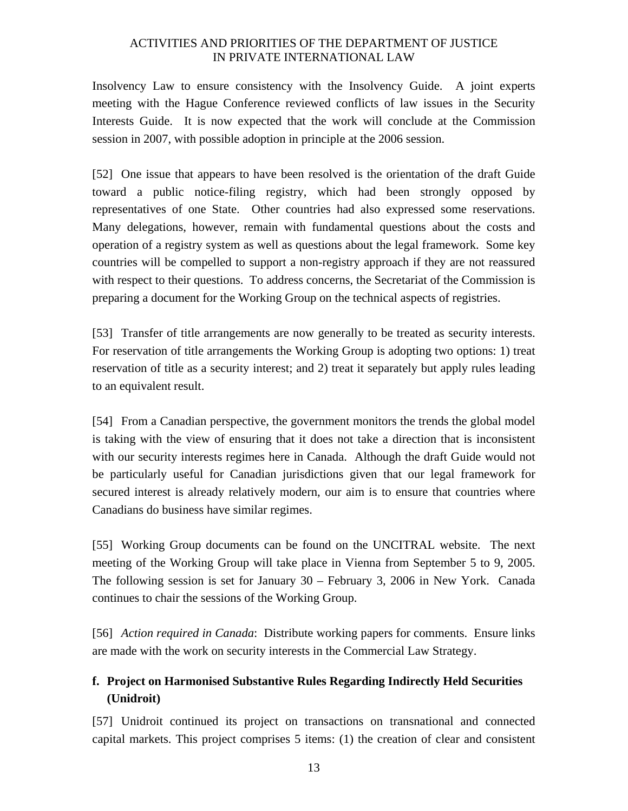<span id="page-16-0"></span>Insolvency Law to ensure consistency with the Insolvency Guide. A joint experts meeting with the Hague Conference reviewed conflicts of law issues in the Security Interests Guide. It is now expected that the work will conclude at the Commission session in 2007, with possible adoption in principle at the 2006 session.

[52] One issue that appears to have been resolved is the orientation of the draft Guide toward a public notice-filing registry, which had been strongly opposed by representatives of one State. Other countries had also expressed some reservations. Many delegations, however, remain with fundamental questions about the costs and operation of a registry system as well as questions about the legal framework. Some key countries will be compelled to support a non-registry approach if they are not reassured with respect to their questions. To address concerns, the Secretariat of the Commission is preparing a document for the Working Group on the technical aspects of registries.

[53] Transfer of title arrangements are now generally to be treated as security interests. For reservation of title arrangements the Working Group is adopting two options: 1) treat reservation of title as a security interest; and 2) treat it separately but apply rules leading to an equivalent result.

[54] From a Canadian perspective, the government monitors the trends the global model is taking with the view of ensuring that it does not take a direction that is inconsistent with our security interests regimes here in Canada. Although the draft Guide would not be particularly useful for Canadian jurisdictions given that our legal framework for secured interest is already relatively modern, our aim is to ensure that countries where Canadians do business have similar regimes.

[55] Working Group documents can be found on the UNCITRAL website. The next meeting of the Working Group will take place in Vienna from September 5 to 9, 2005. The following session is set for January 30 – February 3, 2006 in New York. Canada continues to chair the sessions of the Working Group.

[56] *Action required in Canada*: Distribute working papers for comments. Ensure links are made with the work on security interests in the Commercial Law Strategy.

# **f. Project on Harmonised Substantive Rules Regarding Indirectly Held Securities (Unidroit)**

[57] Unidroit continued its project on transactions on transnational and connected capital markets. This project comprises 5 items: (1) the creation of clear and consistent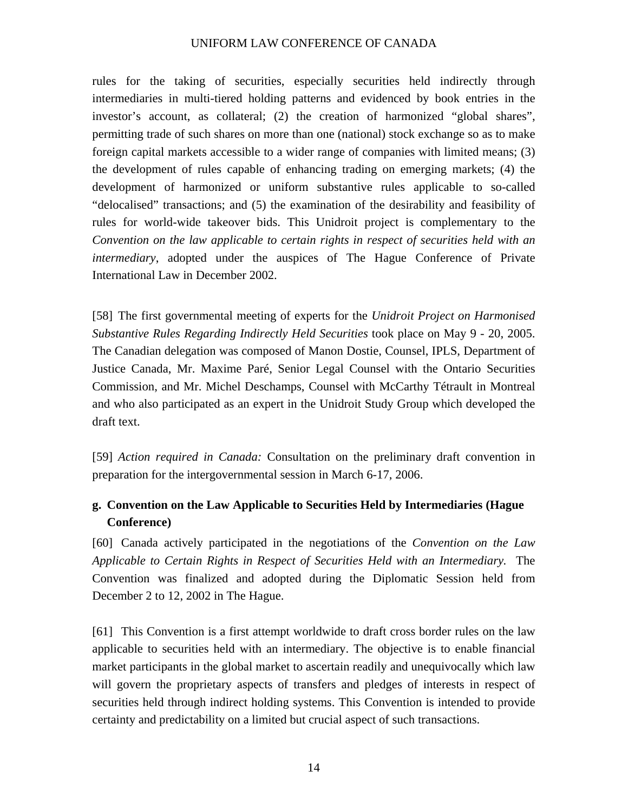<span id="page-17-0"></span>rules for the taking of securities, especially securities held indirectly through intermediaries in multi-tiered holding patterns and evidenced by book entries in the investor's account, as collateral; (2) the creation of harmonized "global shares", permitting trade of such shares on more than one (national) stock exchange so as to make foreign capital markets accessible to a wider range of companies with limited means; (3) the development of rules capable of enhancing trading on emerging markets; (4) the development of harmonized or uniform substantive rules applicable to so-called "delocalised" transactions; and (5) the examination of the desirability and feasibility of rules for world-wide takeover bids. This Unidroit project is complementary to the *Convention on the law applicable to certain rights in respect of securities held with an intermediary*, adopted under the auspices of The Hague Conference of Private International Law in December 2002.

[58] The first governmental meeting of experts for the *Unidroit Project on Harmonised Substantive Rules Regarding Indirectly Held Securities* took place on May 9 - 20, 2005. The Canadian delegation was composed of Manon Dostie, Counsel, IPLS, Department of Justice Canada, Mr. Maxime Paré, Senior Legal Counsel with the Ontario Securities Commission, and Mr. Michel Deschamps, Counsel with McCarthy Tétrault in Montreal and who also participated as an expert in the Unidroit Study Group which developed the draft text.

[59] *Action required in Canada:* Consultation on the preliminary draft convention in preparation for the intergovernmental session in March 6-17, 2006.

# **g. Convention on the Law Applicable to Securities Held by Intermediaries (Hague Conference)**

[60] Canada actively participated in the negotiations of the *Convention on the Law Applicable to Certain Rights in Respect of Securities Held with an Intermediary.* The Convention was finalized and adopted during the Diplomatic Session held from December 2 to 12, 2002 in The Hague.

[61] This Convention is a first attempt worldwide to draft cross border rules on the law applicable to securities held with an intermediary. The objective is to enable financial market participants in the global market to ascertain readily and unequivocally which law will govern the proprietary aspects of transfers and pledges of interests in respect of securities held through indirect holding systems. This Convention is intended to provide certainty and predictability on a limited but crucial aspect of such transactions.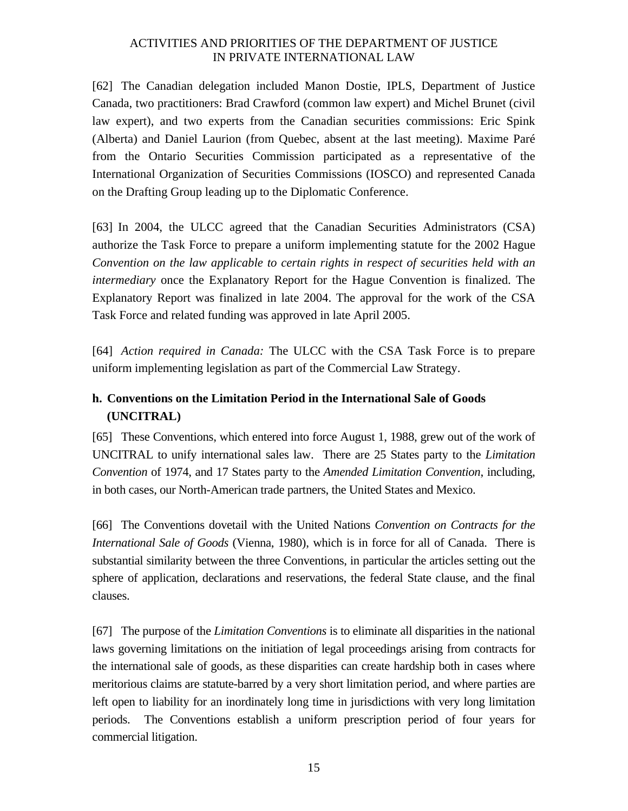<span id="page-18-0"></span>[62] The Canadian delegation included Manon Dostie, IPLS, Department of Justice Canada, two practitioners: Brad Crawford (common law expert) and Michel Brunet (civil law expert), and two experts from the Canadian securities commissions: Eric Spink (Alberta) and Daniel Laurion (from Quebec, absent at the last meeting). Maxime Paré from the Ontario Securities Commission participated as a representative of the International Organization of Securities Commissions (IOSCO) and represented Canada on the Drafting Group leading up to the Diplomatic Conference.

[63] In 2004, the ULCC agreed that the Canadian Securities Administrators (CSA) authorize the Task Force to prepare a uniform implementing statute for the 2002 Hague *Convention on the law applicable to certain rights in respect of securities held with an intermediary* once the Explanatory Report for the Hague Convention is finalized. The Explanatory Report was finalized in late 2004. The approval for the work of the CSA Task Force and related funding was approved in late April 2005.

[64] *Action required in Canada:* The ULCC with the CSA Task Force is to prepare uniform implementing legislation as part of the Commercial Law Strategy.

# **h. Conventions on the Limitation Period in the International Sale of Goods (UNCITRAL)**

[65] These Conventions, which entered into force August 1, 1988, grew out of the work of UNCITRAL to unify international sales law. There are 25 States party to the *Limitation Convention* of 1974, and 17 States party to the *Amended Limitation Convention*, including, in both cases, our North-American trade partners, the United States and Mexico.

[66] The Conventions dovetail with the United Nations *Convention on Contracts for the International Sale of Goods* (Vienna, 1980), which is in force for all of Canada. There is substantial similarity between the three Conventions, in particular the articles setting out the sphere of application, declarations and reservations, the federal State clause, and the final clauses.

[67] The purpose of the *Limitation Conventions* is to eliminate all disparities in the national laws governing limitations on the initiation of legal proceedings arising from contracts for the international sale of goods, as these disparities can create hardship both in cases where meritorious claims are statute-barred by a very short limitation period, and where parties are left open to liability for an inordinately long time in jurisdictions with very long limitation periods. The Conventions establish a uniform prescription period of four years for commercial litigation.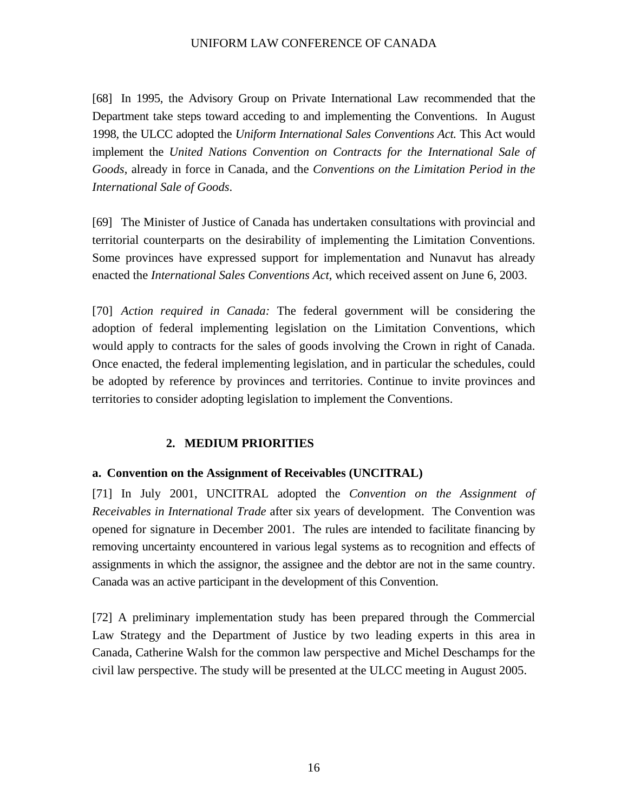<span id="page-19-0"></span>[68] In 1995, the Advisory Group on Private International Law recommended that the Department take steps toward acceding to and implementing the Conventions. In August 1998, the ULCC adopted the *Uniform International Sales Conventions Act.* This Act would implement the *United Nations Convention on Contracts for the International Sale of Goods*, already in force in Canada, and the *Conventions on the Limitation Period in the International Sale of Goods*.

[69] The Minister of Justice of Canada has undertaken consultations with provincial and territorial counterparts on the desirability of implementing the Limitation Conventions. Some provinces have expressed support for implementation and Nunavut has already enacted the *International Sales Conventions Act*, which received assent on June 6, 2003.

[70] *Action required in Canada:* The federal government will be considering the adoption of federal implementing legislation on the Limitation Conventions, which would apply to contracts for the sales of goods involving the Crown in right of Canada. Once enacted, the federal implementing legislation, and in particular the schedules, could be adopted by reference by provinces and territories. Continue to invite provinces and territories to consider adopting legislation to implement the Conventions.

#### **2. MEDIUM PRIORITIES**

#### **a. Convention on the Assignment of Receivables (UNCITRAL)**

[71] In July 2001, UNCITRAL adopted the *Convention on the Assignment of Receivables in International Trade* after six years of development. The Convention was opened for signature in December 2001. The rules are intended to facilitate financing by removing uncertainty encountered in various legal systems as to recognition and effects of assignments in which the assignor, the assignee and the debtor are not in the same country. Canada was an active participant in the development of this Convention.

[72] A preliminary implementation study has been prepared through the Commercial Law Strategy and the Department of Justice by two leading experts in this area in Canada, Catherine Walsh for the common law perspective and Michel Deschamps for the civil law perspective. The study will be presented at the ULCC meeting in August 2005.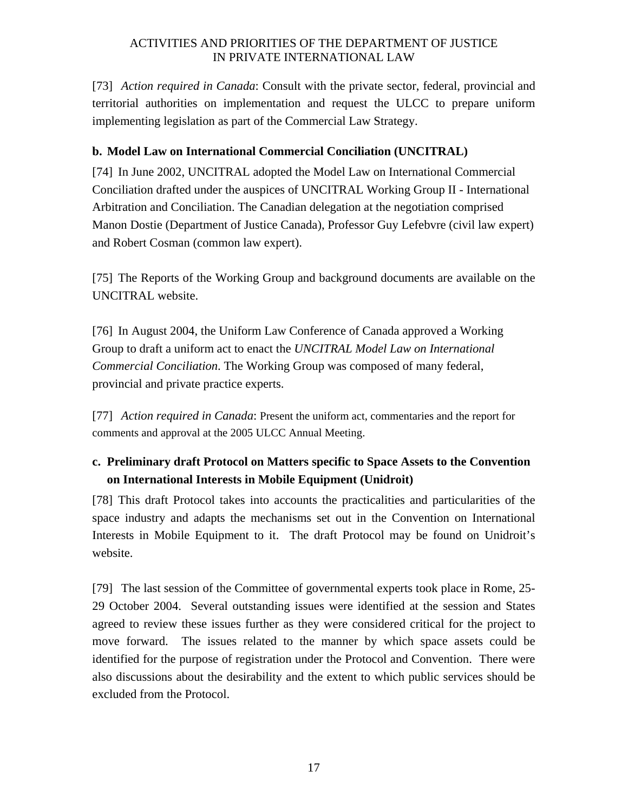<span id="page-20-0"></span>[73] *Action required in Canada*: Consult with the private sector, federal, provincial and territorial authorities on implementation and request the ULCC to prepare uniform implementing legislation as part of the Commercial Law Strategy.

## **b. Model Law on International Commercial Conciliation (UNCITRAL)**

[74] In June 2002, UNCITRAL adopted the Model Law on International Commercial Conciliation drafted under the auspices of UNCITRAL Working Group II - International Arbitration and Conciliation. The Canadian delegation at the negotiation comprised Manon Dostie (Department of Justice Canada), Professor Guy Lefebvre (civil law expert) and Robert Cosman (common law expert).

[75] The Reports of the Working Group and background documents are available on the UNCITRAL website.

[76] In August 2004, the Uniform Law Conference of Canada approved a Working Group to draft a uniform act to enact the *UNCITRAL Model Law on International Commercial Conciliation*. The Working Group was composed of many federal, provincial and private practice experts.

[77] *Action required in Canada*: Present the uniform act, commentaries and the report for comments and approval at the 2005 ULCC Annual Meeting.

# **c. Preliminary draft Protocol on Matters specific to Space Assets to the Convention on International Interests in Mobile Equipment (Unidroit)**

[78] This draft Protocol takes into accounts the practicalities and particularities of the space industry and adapts the mechanisms set out in the Convention on International Interests in Mobile Equipment to it. The draft Protocol may be found on Unidroit's website.

[79] The last session of the Committee of governmental experts took place in Rome, 25- 29 October 2004. Several outstanding issues were identified at the session and States agreed to review these issues further as they were considered critical for the project to move forward. The issues related to the manner by which space assets could be identified for the purpose of registration under the Protocol and Convention. There were also discussions about the desirability and the extent to which public services should be excluded from the Protocol.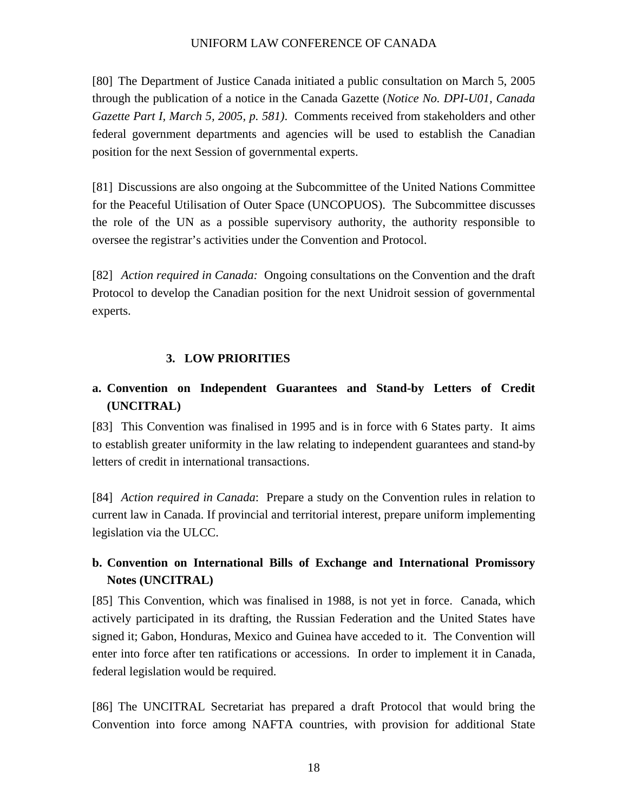<span id="page-21-0"></span>[80] The Department of Justice Canada initiated a public consultation on March 5, 2005 through the publication of a notice in the Canada Gazette (*Notice No. DPI-U01, Canada Gazette Part I, March 5, 2005, p. 581)*. Comments received from stakeholders and other federal government departments and agencies will be used to establish the Canadian position for the next Session of governmental experts.

[81] Discussions are also ongoing at the Subcommittee of the United Nations Committee for the Peaceful Utilisation of Outer Space (UNCOPUOS). The Subcommittee discusses the role of the UN as a possible supervisory authority, the authority responsible to oversee the registrar's activities under the Convention and Protocol.

[82] *Action required in Canada:* Ongoing consultations on the Convention and the draft Protocol to develop the Canadian position for the next Unidroit session of governmental experts.

### **3. LOW PRIORITIES**

# **a. Convention on Independent Guarantees and Stand-by Letters of Credit (UNCITRAL)**

[83] This Convention was finalised in 1995 and is in force with 6 States party. It aims to establish greater uniformity in the law relating to independent guarantees and stand-by letters of credit in international transactions.

[84] *Action required in Canada*: Prepare a study on the Convention rules in relation to current law in Canada. If provincial and territorial interest, prepare uniform implementing legislation via the ULCC.

# **b. Convention on International Bills of Exchange and International Promissory Notes (UNCITRAL)**

[85] This Convention, which was finalised in 1988, is not yet in force. Canada, which actively participated in its drafting, the Russian Federation and the United States have signed it; Gabon, Honduras, Mexico and Guinea have acceded to it. The Convention will enter into force after ten ratifications or accessions. In order to implement it in Canada, federal legislation would be required.

[86] The UNCITRAL Secretariat has prepared a draft Protocol that would bring the Convention into force among NAFTA countries, with provision for additional State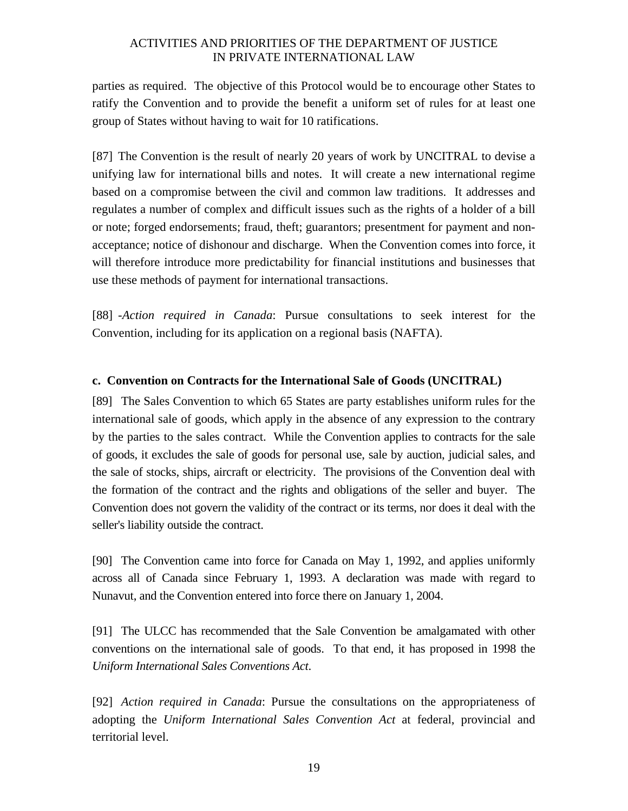<span id="page-22-0"></span>parties as required. The objective of this Protocol would be to encourage other States to ratify the Convention and to provide the benefit a uniform set of rules for at least one group of States without having to wait for 10 ratifications.

[87] The Convention is the result of nearly 20 years of work by UNCITRAL to devise a unifying law for international bills and notes. It will create a new international regime based on a compromise between the civil and common law traditions. It addresses and regulates a number of complex and difficult issues such as the rights of a holder of a bill or note; forged endorsements; fraud, theft; guarantors; presentment for payment and nonacceptance; notice of dishonour and discharge. When the Convention comes into force, it will therefore introduce more predictability for financial institutions and businesses that use these methods of payment for international transactions.

[88] -*Action required in Canada*: Pursue consultations to seek interest for the Convention, including for its application on a regional basis (NAFTA).

#### **c. Convention on Contracts for the International Sale of Goods (UNCITRAL)**

[89] The Sales Convention to which 65 States are party establishes uniform rules for the international sale of goods, which apply in the absence of any expression to the contrary by the parties to the sales contract. While the Convention applies to contracts for the sale of goods, it excludes the sale of goods for personal use, sale by auction, judicial sales, and the sale of stocks, ships, aircraft or electricity. The provisions of the Convention deal with the formation of the contract and the rights and obligations of the seller and buyer. The Convention does not govern the validity of the contract or its terms, nor does it deal with the seller's liability outside the contract.

[90] The Convention came into force for Canada on May 1, 1992, and applies uniformly across all of Canada since February 1, 1993. A declaration was made with regard to Nunavut, and the Convention entered into force there on January 1, 2004.

[91] The ULCC has recommended that the Sale Convention be amalgamated with other conventions on the international sale of goods. To that end, it has proposed in 1998 the *Uniform International Sales Conventions Act*.

[92] *Action required in Canada*: Pursue the consultations on the appropriateness of adopting the *Uniform International Sales Convention Act* at federal, provincial and territorial level.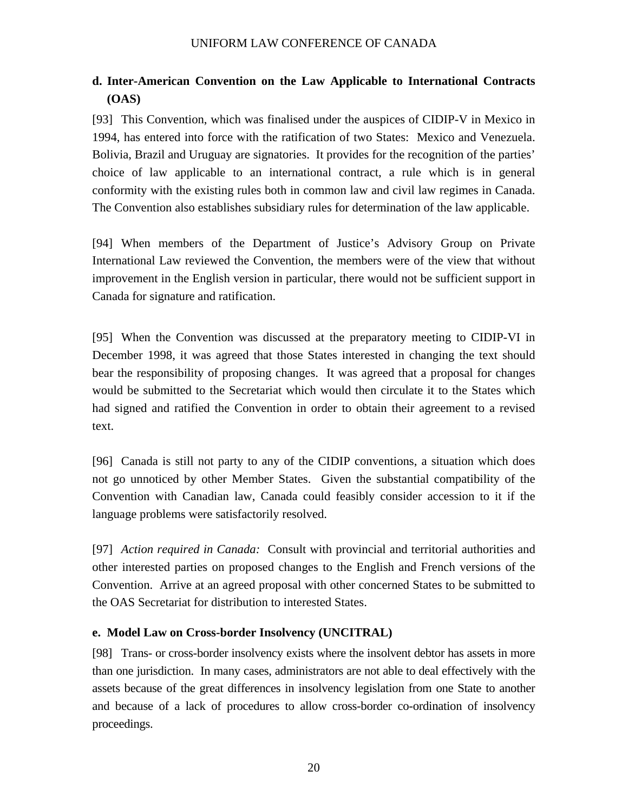# <span id="page-23-0"></span>**d. Inter-American Convention on the Law Applicable to International Contracts (OAS)**

[93] This Convention, which was finalised under the auspices of CIDIP-V in Mexico in 1994, has entered into force with the ratification of two States: Mexico and Venezuela. Bolivia, Brazil and Uruguay are signatories. It provides for the recognition of the parties' choice of law applicable to an international contract, a rule which is in general conformity with the existing rules both in common law and civil law regimes in Canada. The Convention also establishes subsidiary rules for determination of the law applicable.

[94] When members of the Department of Justice's Advisory Group on Private International Law reviewed the Convention, the members were of the view that without improvement in the English version in particular, there would not be sufficient support in Canada for signature and ratification.

[95] When the Convention was discussed at the preparatory meeting to CIDIP-VI in December 1998, it was agreed that those States interested in changing the text should bear the responsibility of proposing changes. It was agreed that a proposal for changes would be submitted to the Secretariat which would then circulate it to the States which had signed and ratified the Convention in order to obtain their agreement to a revised text.

[96] Canada is still not party to any of the CIDIP conventions, a situation which does not go unnoticed by other Member States. Given the substantial compatibility of the Convention with Canadian law, Canada could feasibly consider accession to it if the language problems were satisfactorily resolved.

[97] *Action required in Canada:* Consult with provincial and territorial authorities and other interested parties on proposed changes to the English and French versions of the Convention. Arrive at an agreed proposal with other concerned States to be submitted to the OAS Secretariat for distribution to interested States.

### **e. Model Law on Cross-border Insolvency (UNCITRAL)**

[98] Trans- or cross-border insolvency exists where the insolvent debtor has assets in more than one jurisdiction. In many cases, administrators are not able to deal effectively with the assets because of the great differences in insolvency legislation from one State to another and because of a lack of procedures to allow cross-border co-ordination of insolvency proceedings.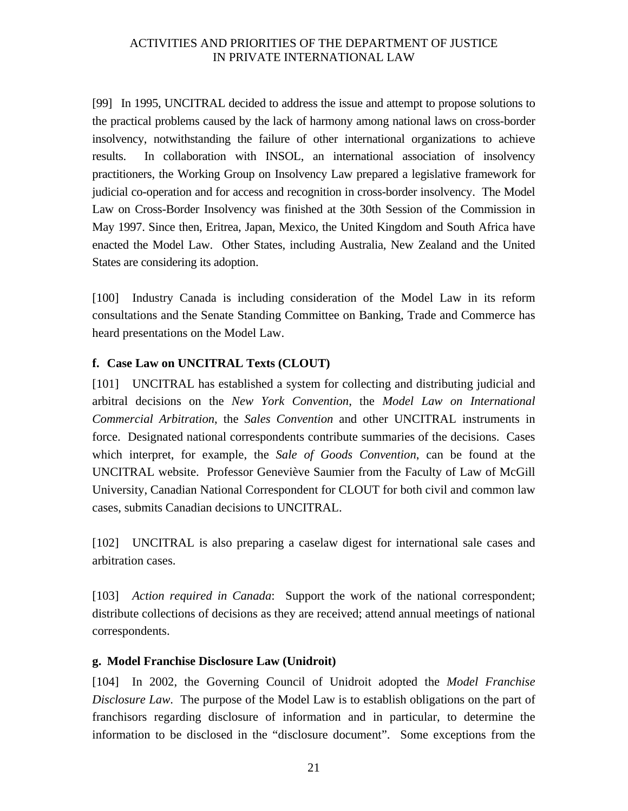<span id="page-24-0"></span>[99] In 1995, UNCITRAL decided to address the issue and attempt to propose solutions to the practical problems caused by the lack of harmony among national laws on cross-border insolvency, notwithstanding the failure of other international organizations to achieve results. In collaboration with INSOL, an international association of insolvency practitioners, the Working Group on Insolvency Law prepared a legislative framework for judicial co-operation and for access and recognition in cross-border insolvency. The Model Law on Cross-Border Insolvency was finished at the 30th Session of the Commission in May 1997. Since then, Eritrea, Japan, Mexico, the United Kingdom and South Africa have enacted the Model Law. Other States, including Australia, New Zealand and the United States are considering its adoption.

[100] Industry Canada is including consideration of the Model Law in its reform consultations and the Senate Standing Committee on Banking, Trade and Commerce has heard presentations on the Model Law.

### **f. Case Law on UNCITRAL Texts (CLOUT)**

[101] UNCITRAL has established a system for collecting and distributing judicial and arbitral decisions on the *New York Convention*, the *Model Law on International Commercial Arbitration*, the *Sales Convention* and other UNCITRAL instruments in force. Designated national correspondents contribute summaries of the decisions. Cases which interpret, for example, the *Sale of Goods Convention*, can be found at the UNCITRAL website. Professor Geneviève Saumier from the Faculty of Law of McGill University, Canadian National Correspondent for CLOUT for both civil and common law cases, submits Canadian decisions to UNCITRAL.

[102] UNCITRAL is also preparing a caselaw digest for international sale cases and arbitration cases.

[103] *Action required in Canada*: Support the work of the national correspondent; distribute collections of decisions as they are received; attend annual meetings of national correspondents.

#### **g. Model Franchise Disclosure Law (Unidroit)**

[104] In 2002, the Governing Council of Unidroit adopted the *Model Franchise Disclosure Law*. The purpose of the Model Law is to establish obligations on the part of franchisors regarding disclosure of information and in particular, to determine the information to be disclosed in the "disclosure document". Some exceptions from the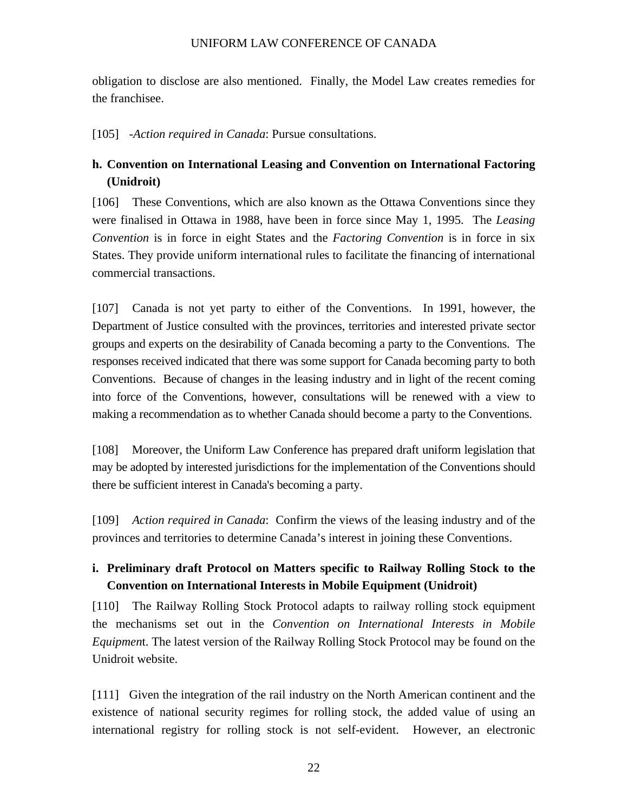<span id="page-25-0"></span>obligation to disclose are also mentioned. Finally, the Model Law creates remedies for the franchisee.

[105] -*Action required in Canada*: Pursue consultations.

# **h. Convention on International Leasing and Convention on International Factoring (Unidroit)**

[106] These Conventions, which are also known as the Ottawa Conventions since they were finalised in Ottawa in 1988, have been in force since May 1, 1995. The *Leasing Convention* is in force in eight States and the *Factoring Convention* is in force in six States. They provide uniform international rules to facilitate the financing of international commercial transactions.

[107] Canada is not yet party to either of the Conventions. In 1991, however, the Department of Justice consulted with the provinces, territories and interested private sector groups and experts on the desirability of Canada becoming a party to the Conventions. The responses received indicated that there was some support for Canada becoming party to both Conventions. Because of changes in the leasing industry and in light of the recent coming into force of the Conventions, however, consultations will be renewed with a view to making a recommendation as to whether Canada should become a party to the Conventions.

[108] Moreover, the Uniform Law Conference has prepared draft uniform legislation that may be adopted by interested jurisdictions for the implementation of the Conventions should there be sufficient interest in Canada's becoming a party.

[109] *Action required in Canada*: Confirm the views of the leasing industry and of the provinces and territories to determine Canada's interest in joining these Conventions.

# **i. Preliminary draft Protocol on Matters specific to Railway Rolling Stock to the Convention on International Interests in Mobile Equipment (Unidroit)**

[110] The Railway Rolling Stock Protocol adapts to railway rolling stock equipment the mechanisms set out in the *Convention on International Interests in Mobile Equipmen*t. The latest version of the Railway Rolling Stock Protocol may be found on the Unidroit website.

[111] Given the integration of the rail industry on the North American continent and the existence of national security regimes for rolling stock, the added value of using an international registry for rolling stock is not self-evident. However, an electronic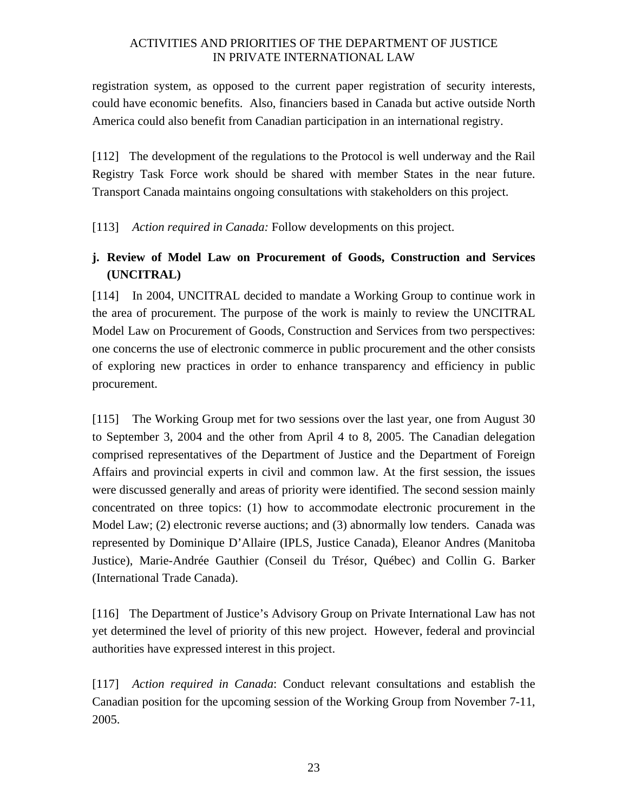<span id="page-26-0"></span>registration system, as opposed to the current paper registration of security interests, could have economic benefits. Also, financiers based in Canada but active outside North America could also benefit from Canadian participation in an international registry.

[112] The development of the regulations to the Protocol is well underway and the Rail Registry Task Force work should be shared with member States in the near future. Transport Canada maintains ongoing consultations with stakeholders on this project.

[113] *Action required in Canada:* Follow developments on this project.

# **j. Review of Model Law on Procurement of Goods, Construction and Services (UNCITRAL)**

[114] In 2004, UNCITRAL decided to mandate a Working Group to continue work in the area of procurement. The purpose of the work is mainly to review the UNCITRAL Model Law on Procurement of Goods, Construction and Services from two perspectives: one concerns the use of electronic commerce in public procurement and the other consists of exploring new practices in order to enhance transparency and efficiency in public procurement.

[115] The Working Group met for two sessions over the last year, one from August 30 to September 3, 2004 and the other from April 4 to 8, 2005. The Canadian delegation comprised representatives of the Department of Justice and the Department of Foreign Affairs and provincial experts in civil and common law. At the first session, the issues were discussed generally and areas of priority were identified. The second session mainly concentrated on three topics: (1) how to accommodate electronic procurement in the Model Law; (2) electronic reverse auctions; and (3) abnormally low tenders. Canada was represented by Dominique D'Allaire (IPLS, Justice Canada), Eleanor Andres (Manitoba Justice), Marie-Andrée Gauthier (Conseil du Trésor, Québec) and Collin G. Barker (International Trade Canada).

[116] The Department of Justice's Advisory Group on Private International Law has not yet determined the level of priority of this new project. However, federal and provincial authorities have expressed interest in this project.

[117] *Action required in Canada*: Conduct relevant consultations and establish the Canadian position for the upcoming session of the Working Group from November 7-11, 2005.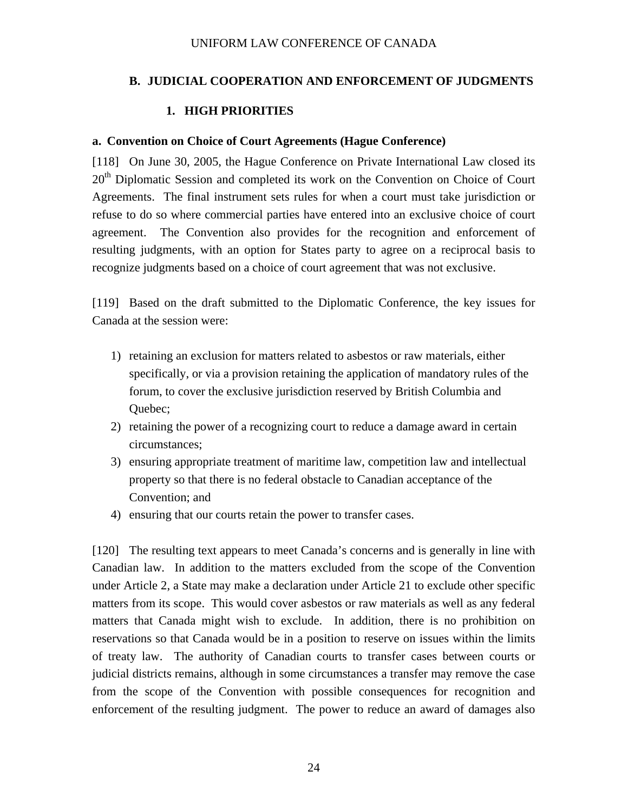### <span id="page-27-0"></span>**B. JUDICIAL COOPERATION AND ENFORCEMENT OF JUDGMENTS**

### **1. HIGH PRIORITIES**

#### **a. Convention on Choice of Court Agreements (Hague Conference)**

[118] On June 30, 2005, the Hague Conference on Private International Law closed its 20<sup>th</sup> Diplomatic Session and completed its work on the Convention on Choice of Court Agreements. The final instrument sets rules for when a court must take jurisdiction or refuse to do so where commercial parties have entered into an exclusive choice of court agreement. The Convention also provides for the recognition and enforcement of resulting judgments, with an option for States party to agree on a reciprocal basis to recognize judgments based on a choice of court agreement that was not exclusive.

[119] Based on the draft submitted to the Diplomatic Conference, the key issues for Canada at the session were:

- 1) retaining an exclusion for matters related to asbestos or raw materials, either specifically, or via a provision retaining the application of mandatory rules of the forum, to cover the exclusive jurisdiction reserved by British Columbia and Quebec;
- 2) retaining the power of a recognizing court to reduce a damage award in certain circumstances;
- 3) ensuring appropriate treatment of maritime law, competition law and intellectual property so that there is no federal obstacle to Canadian acceptance of the Convention; and
- 4) ensuring that our courts retain the power to transfer cases.

[120] The resulting text appears to meet Canada's concerns and is generally in line with Canadian law. In addition to the matters excluded from the scope of the Convention under Article 2, a State may make a declaration under Article 21 to exclude other specific matters from its scope. This would cover asbestos or raw materials as well as any federal matters that Canada might wish to exclude. In addition, there is no prohibition on reservations so that Canada would be in a position to reserve on issues within the limits of treaty law. The authority of Canadian courts to transfer cases between courts or judicial districts remains, although in some circumstances a transfer may remove the case from the scope of the Convention with possible consequences for recognition and enforcement of the resulting judgment. The power to reduce an award of damages also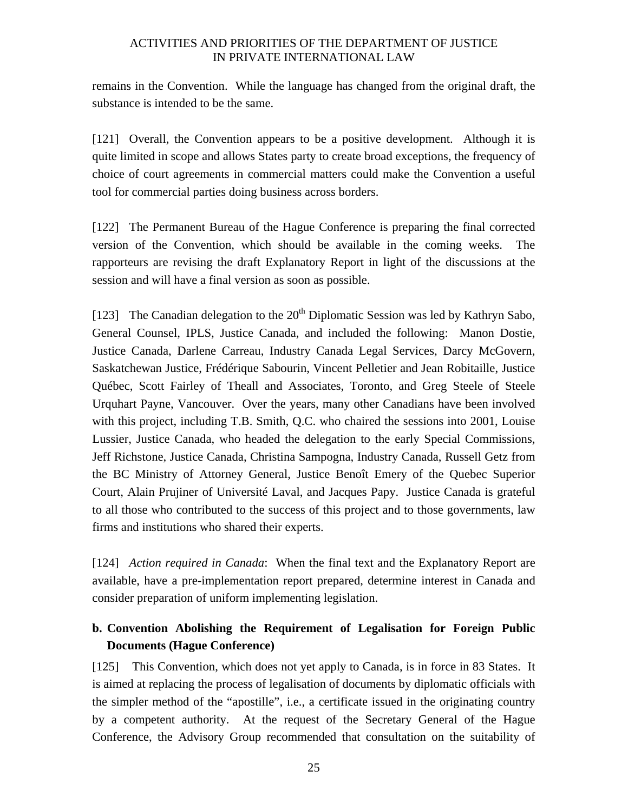<span id="page-28-0"></span>remains in the Convention. While the language has changed from the original draft, the substance is intended to be the same.

[121] Overall, the Convention appears to be a positive development. Although it is quite limited in scope and allows States party to create broad exceptions, the frequency of choice of court agreements in commercial matters could make the Convention a useful tool for commercial parties doing business across borders.

[122] The Permanent Bureau of the Hague Conference is preparing the final corrected version of the Convention, which should be available in the coming weeks. The rapporteurs are revising the draft Explanatory Report in light of the discussions at the session and will have a final version as soon as possible.

[123] The Canadian delegation to the  $20<sup>th</sup>$  Diplomatic Session was led by Kathryn Sabo, General Counsel, IPLS, Justice Canada, and included the following: Manon Dostie, Justice Canada, Darlene Carreau, Industry Canada Legal Services, Darcy McGovern, Saskatchewan Justice, Frédérique Sabourin, Vincent Pelletier and Jean Robitaille, Justice Québec, Scott Fairley of Theall and Associates, Toronto, and Greg Steele of Steele Urquhart Payne, Vancouver. Over the years, many other Canadians have been involved with this project, including T.B. Smith, Q.C. who chaired the sessions into 2001, Louise Lussier, Justice Canada, who headed the delegation to the early Special Commissions, Jeff Richstone, Justice Canada, Christina Sampogna, Industry Canada, Russell Getz from the BC Ministry of Attorney General, Justice Benoît Emery of the Quebec Superior Court, Alain Prujiner of Université Laval, and Jacques Papy. Justice Canada is grateful to all those who contributed to the success of this project and to those governments, law firms and institutions who shared their experts.

[124] *Action required in Canada*: When the final text and the Explanatory Report are available, have a pre-implementation report prepared, determine interest in Canada and consider preparation of uniform implementing legislation.

# **b. Convention Abolishing the Requirement of Legalisation for Foreign Public Documents (Hague Conference)**

[125] This Convention, which does not yet apply to Canada, is in force in 83 States. It is aimed at replacing the process of legalisation of documents by diplomatic officials with the simpler method of the "apostille", i.e., a certificate issued in the originating country by a competent authority. At the request of the Secretary General of the Hague Conference, the Advisory Group recommended that consultation on the suitability of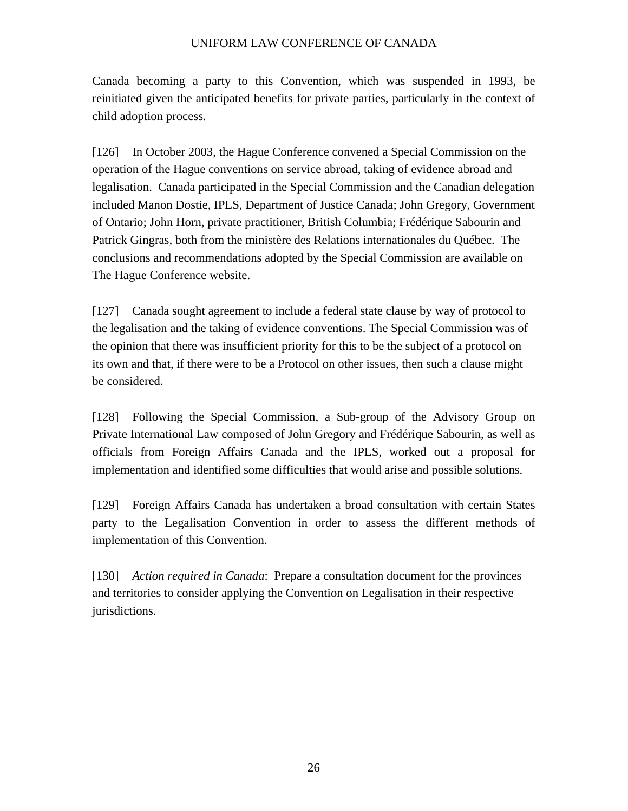Canada becoming a party to this Convention, which was suspended in 1993, be reinitiated given the anticipated benefits for private parties, particularly in the context of child adoption process*.*

[126] In October 2003, the Hague Conference convened a Special Commission on the operation of the Hague conventions on service abroad, taking of evidence abroad and legalisation. Canada participated in the Special Commission and the Canadian delegation included Manon Dostie, IPLS, Department of Justice Canada; John Gregory, Government of Ontario; John Horn, private practitioner, British Columbia; Frédérique Sabourin and Patrick Gingras, both from the ministère des Relations internationales du Québec. The conclusions and recommendations adopted by the Special Commission are available on The Hague Conference website.

[127] Canada sought agreement to include a federal state clause by way of protocol to the legalisation and the taking of evidence conventions. The Special Commission was of the opinion that there was insufficient priority for this to be the subject of a protocol on its own and that, if there were to be a Protocol on other issues, then such a clause might be considered.

[128] Following the Special Commission, a Sub-group of the Advisory Group on Private International Law composed of John Gregory and Frédérique Sabourin, as well as officials from Foreign Affairs Canada and the IPLS, worked out a proposal for implementation and identified some difficulties that would arise and possible solutions.

[129] Foreign Affairs Canada has undertaken a broad consultation with certain States party to the Legalisation Convention in order to assess the different methods of implementation of this Convention.

[130] *Action required in Canada*: Prepare a consultation document for the provinces and territories to consider applying the Convention on Legalisation in their respective jurisdictions.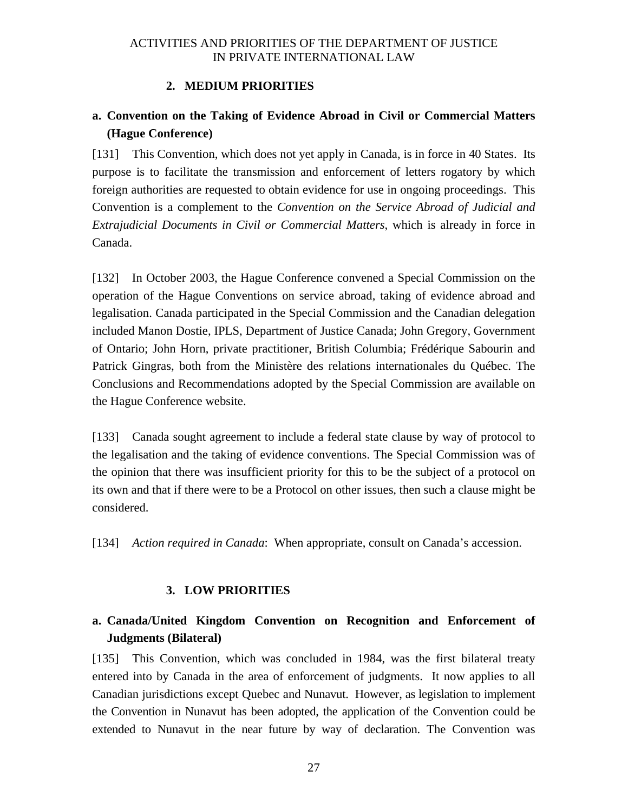#### **2. MEDIUM PRIORITIES**

## <span id="page-30-0"></span>**a. Convention on the Taking of Evidence Abroad in Civil or Commercial Matters (Hague Conference)**

[131] This Convention, which does not yet apply in Canada, is in force in 40 States. Its purpose is to facilitate the transmission and enforcement of letters rogatory by which foreign authorities are requested to obtain evidence for use in ongoing proceedings. This Convention is a complement to the *Convention on the Service Abroad of Judicial and Extrajudicial Documents in Civil or Commercial Matters*, which is already in force in Canada.

[132] In October 2003, the Hague Conference convened a Special Commission on the operation of the Hague Conventions on service abroad, taking of evidence abroad and legalisation. Canada participated in the Special Commission and the Canadian delegation included Manon Dostie, IPLS, Department of Justice Canada; John Gregory, Government of Ontario; John Horn, private practitioner, British Columbia; Frédérique Sabourin and Patrick Gingras, both from the Ministère des relations internationales du Québec. The Conclusions and Recommendations adopted by the Special Commission are available on the Hague Conference website.

[133] Canada sought agreement to include a federal state clause by way of protocol to the legalisation and the taking of evidence conventions. The Special Commission was of the opinion that there was insufficient priority for this to be the subject of a protocol on its own and that if there were to be a Protocol on other issues, then such a clause might be considered.

[134] *Action required in Canada*: When appropriate, consult on Canada's accession.

#### **3. LOW PRIORITIES**

## **a. Canada/United Kingdom Convention on Recognition and Enforcement of Judgments (Bilateral)**

[135] This Convention, which was concluded in 1984, was the first bilateral treaty entered into by Canada in the area of enforcement of judgments. It now applies to all Canadian jurisdictions except Quebec and Nunavut. However, as legislation to implement the Convention in Nunavut has been adopted, the application of the Convention could be extended to Nunavut in the near future by way of declaration. The Convention was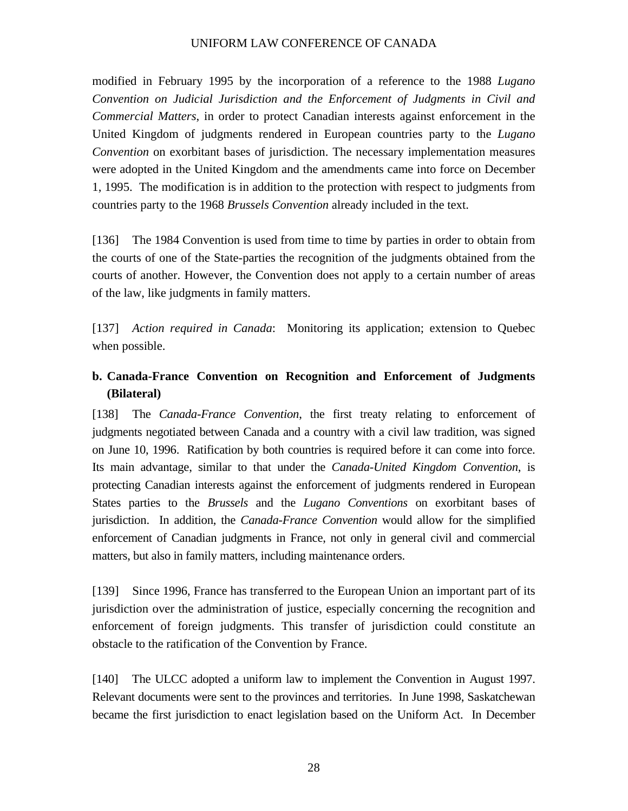<span id="page-31-0"></span>modified in February 1995 by the incorporation of a reference to the 1988 *Lugano Convention on Judicial Jurisdiction and the Enforcement of Judgments in Civil and Commercial Matters*, in order to protect Canadian interests against enforcement in the United Kingdom of judgments rendered in European countries party to the *Lugano Convention* on exorbitant bases of jurisdiction. The necessary implementation measures were adopted in the United Kingdom and the amendments came into force on December 1, 1995. The modification is in addition to the protection with respect to judgments from countries party to the 1968 *Brussels Convention* already included in the text.

[136] The 1984 Convention is used from time to time by parties in order to obtain from the courts of one of the State-parties the recognition of the judgments obtained from the courts of another. However, the Convention does not apply to a certain number of areas of the law, like judgments in family matters.

[137] *Action required in Canada*: Monitoring its application; extension to Quebec when possible.

# **b. Canada-France Convention on Recognition and Enforcement of Judgments (Bilateral)**

[138] The *Canada-France Convention*, the first treaty relating to enforcement of judgments negotiated between Canada and a country with a civil law tradition, was signed on June 10, 1996. Ratification by both countries is required before it can come into force. Its main advantage, similar to that under the *Canada-United Kingdom Convention*, is protecting Canadian interests against the enforcement of judgments rendered in European States parties to the *Brussels* and the *Lugano Conventions* on exorbitant bases of jurisdiction. In addition, the *Canada-France Convention* would allow for the simplified enforcement of Canadian judgments in France, not only in general civil and commercial matters, but also in family matters, including maintenance orders.

[139] Since 1996, France has transferred to the European Union an important part of its jurisdiction over the administration of justice, especially concerning the recognition and enforcement of foreign judgments. This transfer of jurisdiction could constitute an obstacle to the ratification of the Convention by France.

[140] The ULCC adopted a uniform law to implement the Convention in August 1997. Relevant documents were sent to the provinces and territories. In June 1998, Saskatchewan became the first jurisdiction to enact legislation based on the Uniform Act. In December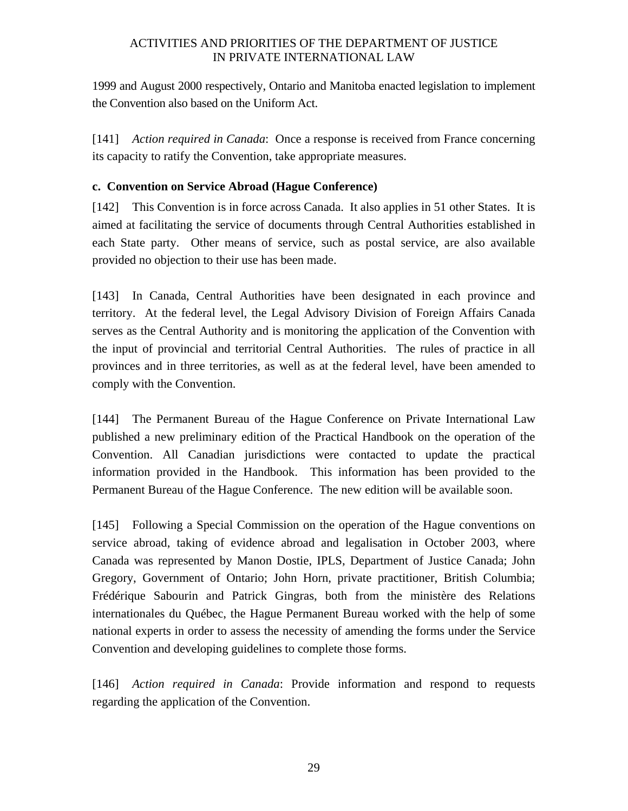<span id="page-32-0"></span>1999 and August 2000 respectively, Ontario and Manitoba enacted legislation to implement the Convention also based on the Uniform Act.

[141] *Action required in Canada*: Once a response is received from France concerning its capacity to ratify the Convention, take appropriate measures.

### **c. Convention on Service Abroad (Hague Conference)**

[142] This Convention is in force across Canada. It also applies in 51 other States. It is aimed at facilitating the service of documents through Central Authorities established in each State party. Other means of service, such as postal service, are also available provided no objection to their use has been made.

[143] In Canada, Central Authorities have been designated in each province and territory. At the federal level, the Legal Advisory Division of Foreign Affairs Canada serves as the Central Authority and is monitoring the application of the Convention with the input of provincial and territorial Central Authorities. The rules of practice in all provinces and in three territories, as well as at the federal level, have been amended to comply with the Convention.

[144] The Permanent Bureau of the Hague Conference on Private International Law published a new preliminary edition of the Practical Handbook on the operation of the Convention. All Canadian jurisdictions were contacted to update the practical information provided in the Handbook. This information has been provided to the Permanent Bureau of the Hague Conference. The new edition will be available soon.

[145] Following a Special Commission on the operation of the Hague conventions on service abroad, taking of evidence abroad and legalisation in October 2003, where Canada was represented by Manon Dostie, IPLS, Department of Justice Canada; John Gregory, Government of Ontario; John Horn, private practitioner, British Columbia; Frédérique Sabourin and Patrick Gingras, both from the ministère des Relations internationales du Québec, the Hague Permanent Bureau worked with the help of some national experts in order to assess the necessity of amending the forms under the Service Convention and developing guidelines to complete those forms.

[146] *Action required in Canada*: Provide information and respond to requests regarding the application of the Convention.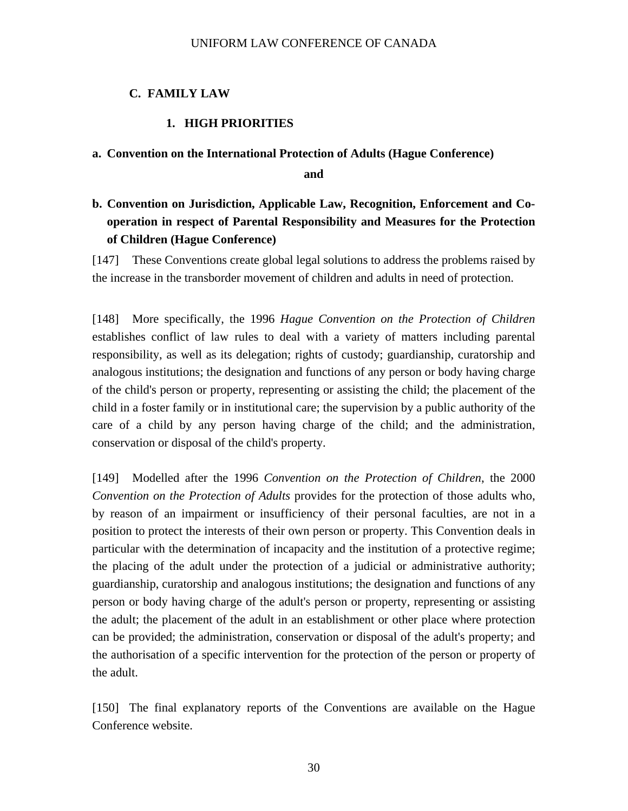#### <span id="page-33-0"></span>**C. FAMILY LAW**

#### **1. HIGH PRIORITIES**

#### **a. Convention on the International Protection of Adults (Hague Conference)**

**and** 

# **b. Convention on Jurisdiction, Applicable Law, Recognition, Enforcement and Cooperation in respect of Parental Responsibility and Measures for the Protection of Children (Hague Conference)**

[147] These Conventions create global legal solutions to address the problems raised by the increase in the transborder movement of children and adults in need of protection.

[148] More specifically, the 1996 *Hague Convention on the Protection of Children* establishes conflict of law rules to deal with a variety of matters including parental responsibility, as well as its delegation; rights of custody; guardianship, curatorship and analogous institutions; the designation and functions of any person or body having charge of the child's person or property, representing or assisting the child; the placement of the child in a foster family or in institutional care; the supervision by a public authority of the care of a child by any person having charge of the child; and the administration, conservation or disposal of the child's property.

[149] Modelled after the 1996 *Convention on the Protection of Children*, the 2000 *Convention on the Protection of Adults* provides for the protection of those adults who, by reason of an impairment or insufficiency of their personal faculties, are not in a position to protect the interests of their own person or property. This Convention deals in particular with the determination of incapacity and the institution of a protective regime; the placing of the adult under the protection of a judicial or administrative authority; guardianship, curatorship and analogous institutions; the designation and functions of any person or body having charge of the adult's person or property, representing or assisting the adult; the placement of the adult in an establishment or other place where protection can be provided; the administration, conservation or disposal of the adult's property; and the authorisation of a specific intervention for the protection of the person or property of the adult.

[150] The final explanatory reports of the Conventions are available on the Hague Conference website.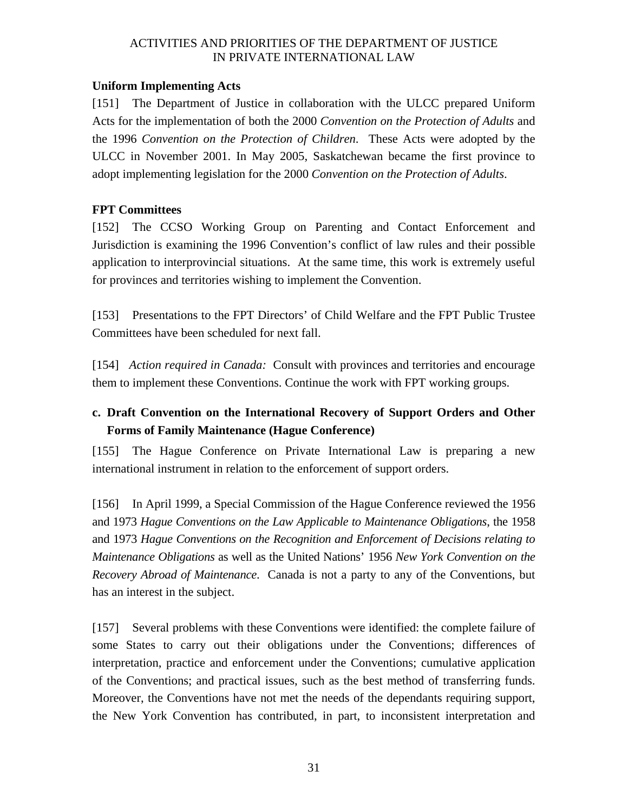#### <span id="page-34-0"></span>**Uniform Implementing Acts**

[151] The Department of Justice in collaboration with the ULCC prepared Uniform Acts for the implementation of both the 2000 *Convention on the Protection of Adults* and the 1996 *Convention on the Protection of Children*. These Acts were adopted by the ULCC in November 2001. In May 2005, Saskatchewan became the first province to adopt implementing legislation for the 2000 *Convention on the Protection of Adults*.

### **FPT Committees**

[152] The CCSO Working Group on Parenting and Contact Enforcement and Jurisdiction is examining the 1996 Convention's conflict of law rules and their possible application to interprovincial situations. At the same time, this work is extremely useful for provinces and territories wishing to implement the Convention.

[153] Presentations to the FPT Directors' of Child Welfare and the FPT Public Trustee Committees have been scheduled for next fall.

[154] *Action required in Canada:* Consult with provinces and territories and encourage them to implement these Conventions. Continue the work with FPT working groups.

# **c. Draft Convention on the International Recovery of Support Orders and Other Forms of Family Maintenance (Hague Conference)**

[155] The Hague Conference on Private International Law is preparing a new international instrument in relation to the enforcement of support orders.

[156] In April 1999, a Special Commission of the Hague Conference reviewed the 1956 and 1973 *Hague Conventions on the Law Applicable to Maintenance Obligations*, the 1958 and 1973 *Hague Conventions on the Recognition and Enforcement of Decisions relating to Maintenance Obligations* as well as the United Nations' 1956 *New York Convention on the Recovery Abroad of Maintenance*. Canada is not a party to any of the Conventions, but has an interest in the subject.

[157] Several problems with these Conventions were identified: the complete failure of some States to carry out their obligations under the Conventions; differences of interpretation, practice and enforcement under the Conventions; cumulative application of the Conventions; and practical issues, such as the best method of transferring funds. Moreover, the Conventions have not met the needs of the dependants requiring support, the New York Convention has contributed, in part, to inconsistent interpretation and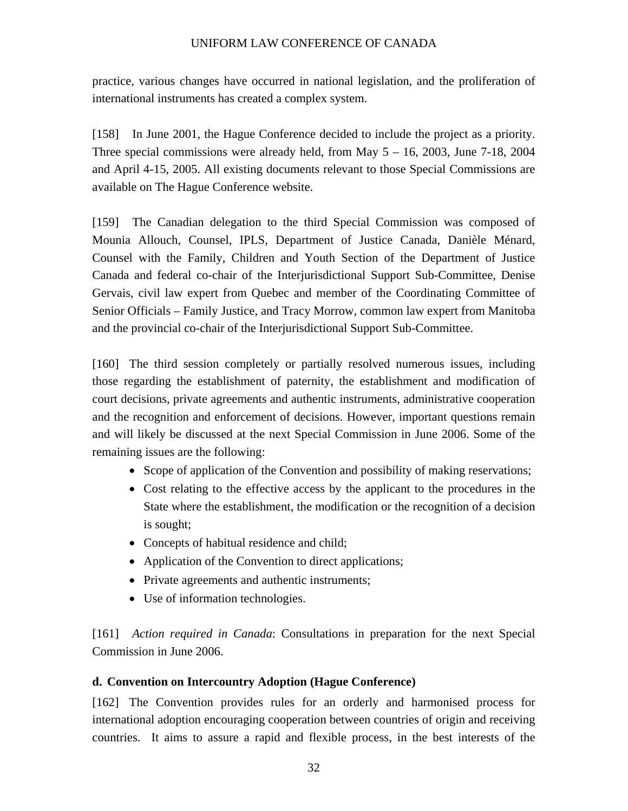<span id="page-35-0"></span>practice, various changes have occurred in national legislation, and the proliferation of international instruments has created a complex system.

[158] In June 2001, the Hague Conference decided to include the project as a priority. Three special commissions were already held, from May  $5 - 16$ , 2003, June  $7-18$ , 2004 and April 4-15, 2005. All existing documents relevant to those Special Commissions are available on The Hague Conference website.

[159] The Canadian delegation to the third Special Commission was composed of Mounia Allouch, Counsel, IPLS, Department of Justice Canada, Danièle Ménard, Counsel with the Family, Children and Youth Section of the Department of Justice Canada and federal co-chair of the Interjurisdictional Support Sub-Committee, Denise Gervais, civil law expert from Quebec and member of the Coordinating Committee of Senior Officials – Family Justice, and Tracy Morrow, common law expert from Manitoba and the provincial co-chair of the Interjurisdictional Support Sub-Committee.

[160] The third session completely or partially resolved numerous issues, including those regarding the establishment of paternity, the establishment and modification of court decisions, private agreements and authentic instruments, administrative cooperation and the recognition and enforcement of decisions. However, important questions remain and will likely be discussed at the next Special Commission in June 2006. Some of the remaining issues are the following:

- Scope of application of the Convention and possibility of making reservations;
- Cost relating to the effective access by the applicant to the procedures in the State where the establishment, the modification or the recognition of a decision is sought;
- Concepts of habitual residence and child;
- Application of the Convention to direct applications;
- Private agreements and authentic instruments;
- Use of information technologies.

[161] *Action required in Canada*: Consultations in preparation for the next Special Commission in June 2006.

### **d. Convention on Intercountry Adoption (Hague Conference)**

[162] The Convention provides rules for an orderly and harmonised process for international adoption encouraging cooperation between countries of origin and receiving countries. It aims to assure a rapid and flexible process, in the best interests of the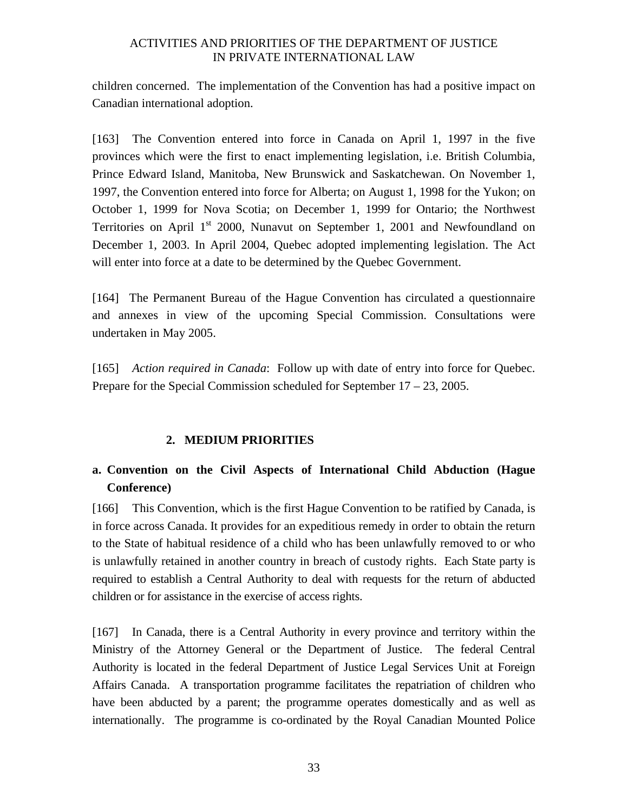<span id="page-36-0"></span>children concerned. The implementation of the Convention has had a positive impact on Canadian international adoption.

[163] The Convention entered into force in Canada on April 1, 1997 in the five provinces which were the first to enact implementing legislation, i.e. British Columbia, Prince Edward Island, Manitoba, New Brunswick and Saskatchewan. On November 1, 1997, the Convention entered into force for Alberta; on August 1, 1998 for the Yukon; on October 1, 1999 for Nova Scotia; on December 1, 1999 for Ontario; the Northwest Territories on April  $1<sup>st</sup>$  2000, Nunavut on September 1, 2001 and Newfoundland on December 1, 2003. In April 2004, Quebec adopted implementing legislation. The Act will enter into force at a date to be determined by the Quebec Government.

[164] The Permanent Bureau of the Hague Convention has circulated a questionnaire and annexes in view of the upcoming Special Commission. Consultations were undertaken in May 2005.

[165] *Action required in Canada*:Follow up with date of entry into force for Quebec. Prepare for the Special Commission scheduled for September 17 – 23, 2005.

## **2. MEDIUM PRIORITIES**

# **a. Convention on the Civil Aspects of International Child Abduction (Hague Conference)**

[166] This Convention, which is the first Hague Convention to be ratified by Canada, is in force across Canada. It provides for an expeditious remedy in order to obtain the return to the State of habitual residence of a child who has been unlawfully removed to or who is unlawfully retained in another country in breach of custody rights. Each State party is required to establish a Central Authority to deal with requests for the return of abducted children or for assistance in the exercise of access rights.

[167] In Canada, there is a Central Authority in every province and territory within the Ministry of the Attorney General or the Department of Justice. The federal Central Authority is located in the federal Department of Justice Legal Services Unit at Foreign Affairs Canada. A transportation programme facilitates the repatriation of children who have been abducted by a parent; the programme operates domestically and as well as internationally. The programme is co-ordinated by the Royal Canadian Mounted Police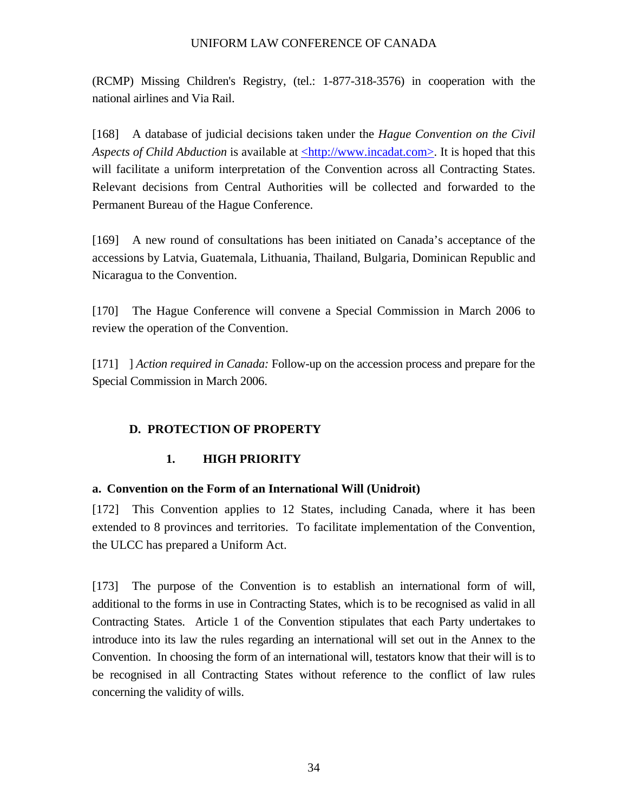<span id="page-37-0"></span>(RCMP) Missing Children's Registry, (tel.: 1-877-318-3576) in cooperation with the national airlines and Via Rail.

[168] A database of judicial decisions taken under the *Hague Convention on the Civil Aspects of Child Abduction* is available at  $\frac{\text{http://www.incadat.com>}}{$ . It is hoped that this will facilitate a uniform interpretation of the Convention across all Contracting States. Relevant decisions from Central Authorities will be collected and forwarded to the Permanent Bureau of the Hague Conference.

[169] A new round of consultations has been initiated on Canada's acceptance of the accessions by Latvia, Guatemala, Lithuania, Thailand, Bulgaria, Dominican Republic and Nicaragua to the Convention.

[170] The Hague Conference will convene a Special Commission in March 2006 to review the operation of the Convention.

[171] ] *Action required in Canada:* Follow-up on the accession process and prepare for the Special Commission in March 2006.

## **D. PROTECTION OF PROPERTY**

## **1. HIGH PRIORITY**

### **a. Convention on the Form of an International Will (Unidroit)**

[172] This Convention applies to 12 States, including Canada, where it has been extended to 8 provinces and territories. To facilitate implementation of the Convention, the ULCC has prepared a Uniform Act.

[173] The purpose of the Convention is to establish an international form of will, additional to the forms in use in Contracting States, which is to be recognised as valid in all Contracting States. Article 1 of the Convention stipulates that each Party undertakes to introduce into its law the rules regarding an international will set out in the Annex to the Convention. In choosing the form of an international will, testators know that their will is to be recognised in all Contracting States without reference to the conflict of law rules concerning the validity of wills.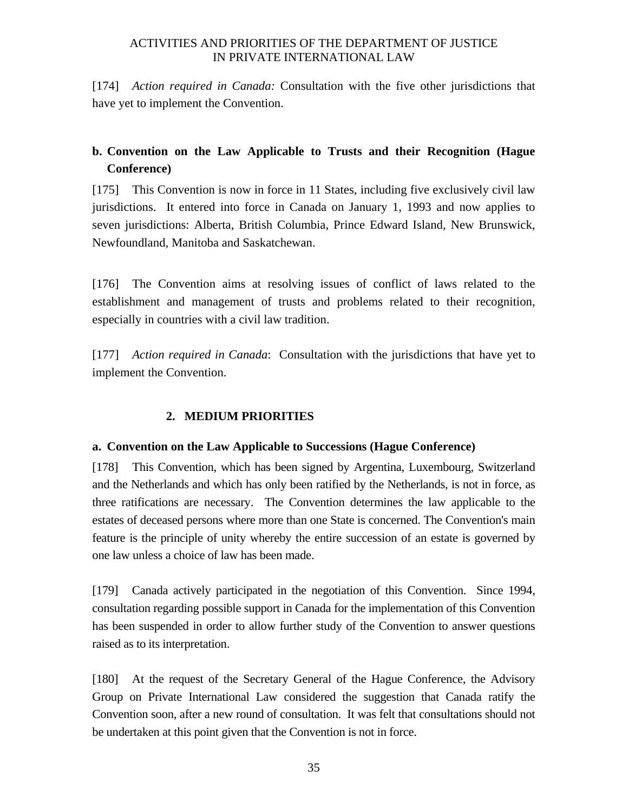<span id="page-38-0"></span>[174] *Action required in Canada:* Consultation with the five other jurisdictions that have yet to implement the Convention.

# **b. Convention on the Law Applicable to Trusts and their Recognition (Hague Conference)**

[175] This Convention is now in force in 11 States, including five exclusively civil law jurisdictions. It entered into force in Canada on January 1, 1993 and now applies to seven jurisdictions: Alberta, British Columbia, Prince Edward Island, New Brunswick, Newfoundland, Manitoba and Saskatchewan.

[176] The Convention aims at resolving issues of conflict of laws related to the establishment and management of trusts and problems related to their recognition, especially in countries with a civil law tradition.

[177] *Action required in Canada*: Consultation with the jurisdictions that have yet to implement the Convention.

## **2. MEDIUM PRIORITIES**

### **a. Convention on the Law Applicable to Successions (Hague Conference)**

[178] This Convention, which has been signed by Argentina, Luxembourg, Switzerland and the Netherlands and which has only been ratified by the Netherlands, is not in force, as three ratifications are necessary. The Convention determines the law applicable to the estates of deceased persons where more than one State is concerned. The Convention's main feature is the principle of unity whereby the entire succession of an estate is governed by one law unless a choice of law has been made.

[179] Canada actively participated in the negotiation of this Convention. Since 1994, consultation regarding possible support in Canada for the implementation of this Convention has been suspended in order to allow further study of the Convention to answer questions raised as to its interpretation.

[180] At the request of the Secretary General of the Hague Conference, the Advisory Group on Private International Law considered the suggestion that Canada ratify the Convention soon, after a new round of consultation. It was felt that consultations should not be undertaken at this point given that the Convention is not in force.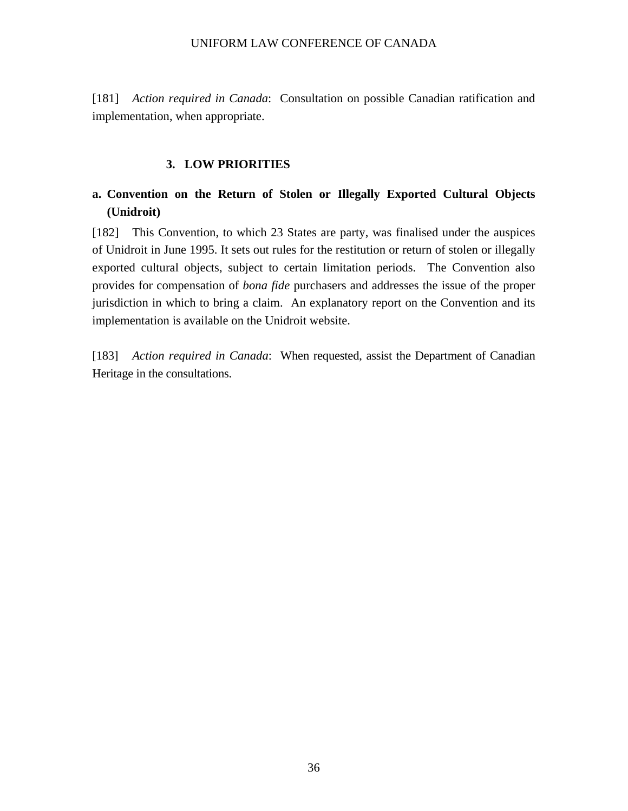<span id="page-39-0"></span>[181] *Action required in Canada*: Consultation on possible Canadian ratification and implementation, when appropriate.

#### **3. LOW PRIORITIES**

# **a. Convention on the Return of Stolen or Illegally Exported Cultural Objects (Unidroit)**

[182] This Convention, to which 23 States are party, was finalised under the auspices of Unidroit in June 1995. It sets out rules for the restitution or return of stolen or illegally exported cultural objects, subject to certain limitation periods. The Convention also provides for compensation of *bona fide* purchasers and addresses the issue of the proper jurisdiction in which to bring a claim. An explanatory report on the Convention and its implementation is available on the Unidroit website.

[183] *Action required in Canada*: When requested, assist the Department of Canadian Heritage in the consultations.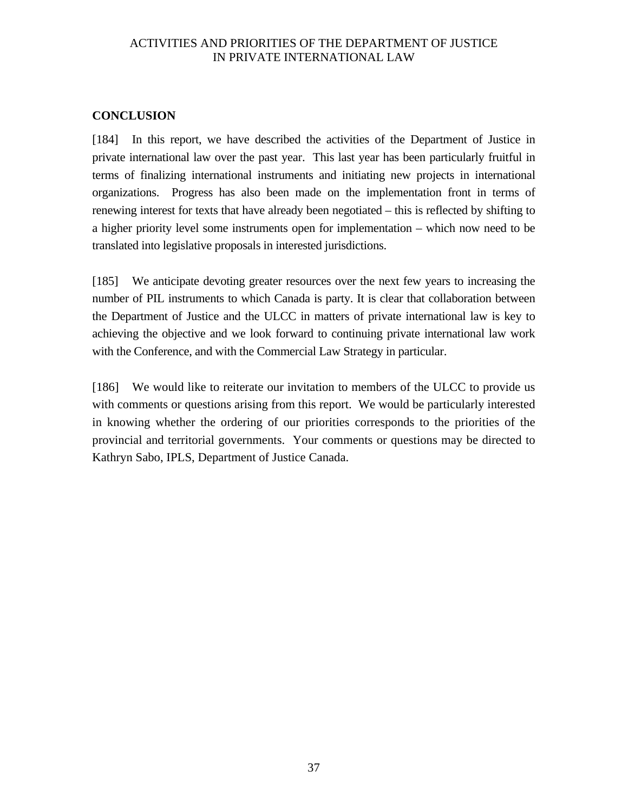### <span id="page-40-0"></span>**CONCLUSION**

[184] In this report, we have described the activities of the Department of Justice in private international law over the past year. This last year has been particularly fruitful in terms of finalizing international instruments and initiating new projects in international organizations. Progress has also been made on the implementation front in terms of renewing interest for texts that have already been negotiated – this is reflected by shifting to a higher priority level some instruments open for implementation – which now need to be translated into legislative proposals in interested jurisdictions.

[185] We anticipate devoting greater resources over the next few years to increasing the number of PIL instruments to which Canada is party. It is clear that collaboration between the Department of Justice and the ULCC in matters of private international law is key to achieving the objective and we look forward to continuing private international law work with the Conference, and with the Commercial Law Strategy in particular.

[186] We would like to reiterate our invitation to members of the ULCC to provide us with comments or questions arising from this report. We would be particularly interested in knowing whether the ordering of our priorities corresponds to the priorities of the provincial and territorial governments. Your comments or questions may be directed to Kathryn Sabo, IPLS, Department of Justice Canada.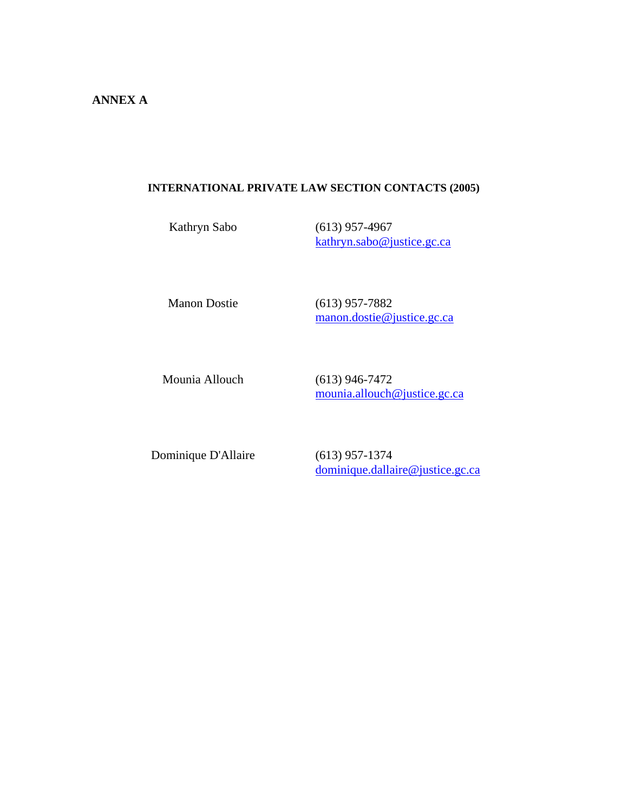#### <span id="page-41-0"></span>**INTERNATIONAL PRIVATE LAW SECTION CONTACTS (2005)**

Kathryn Sabo (613) 957-4967 [kathryn.sabo@justice.gc.ca](mailto:kathryn.sabo@justice.gc.ca) 

Manon Dostie (613) 957-7882 [manon.dostie@justice.gc.ca](mailto:manon.dostie@justice.gc.ca)

Mounia Allouch (613) 946-7472 [mounia.allouch@justice.gc.ca](mailto:mounia.allouch@justice.gc.ca)

Dominique D'Allaire (613) 957-1374

[dominique.dallaire@justice.gc.ca](mailto:dominique.dallaire@justice.gc.ca)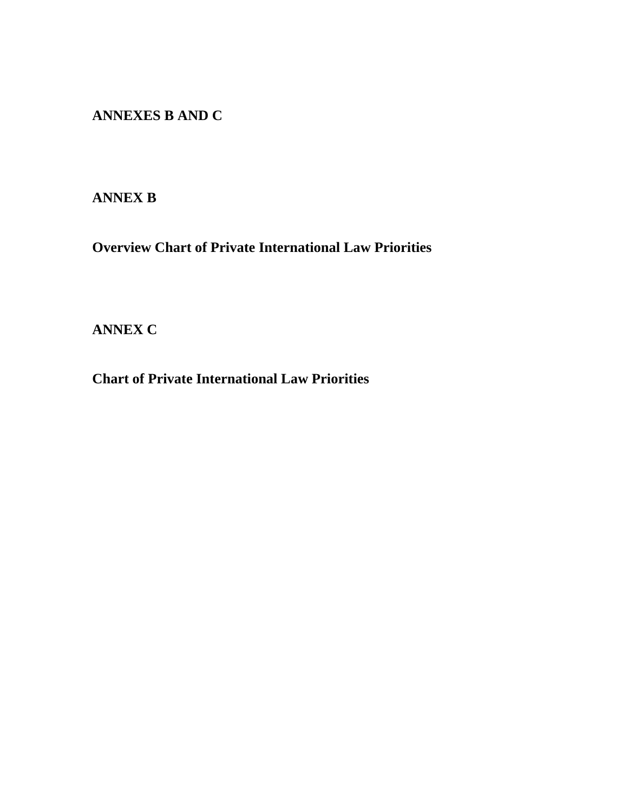**ANNEXES B AND C** 

# **ANNEX B**

**Overview Chart of Private International Law Priorities** 

# **ANNEX C**

**Chart of Private International Law Priorities**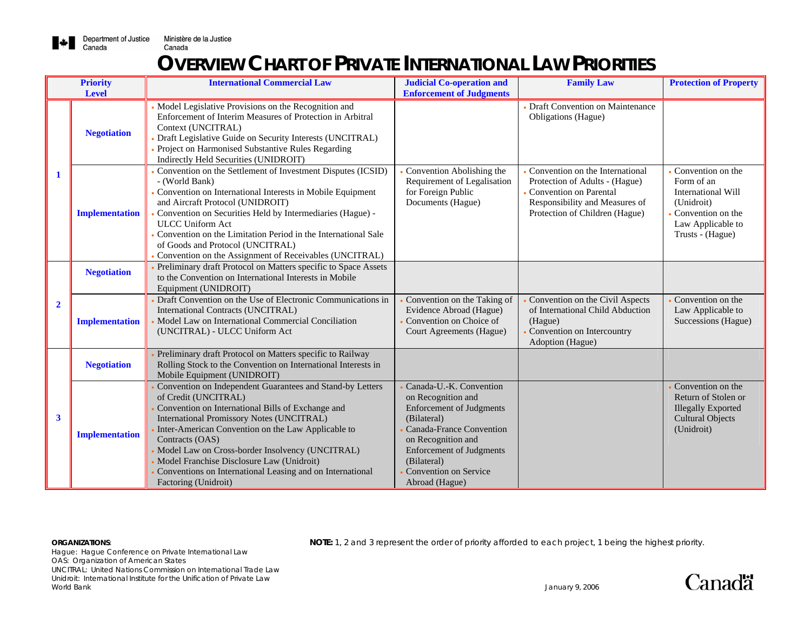

# **OVERVIEW CHART OF PRIVATE INTERNATIONAL LAW PRIORITIES**

|                | <b>Priority</b><br><b>Level</b> | <b>International Commercial Law</b>                                                                                                                                                                                                                                                                                                                                                                                                               | <b>Judicial Co-operation and</b><br><b>Enforcement of Judgments</b>                                                                                                                                                                            | <b>Family Law</b>                                                                                                                                                      | <b>Protection of Property</b>                                                                                                              |
|----------------|---------------------------------|---------------------------------------------------------------------------------------------------------------------------------------------------------------------------------------------------------------------------------------------------------------------------------------------------------------------------------------------------------------------------------------------------------------------------------------------------|------------------------------------------------------------------------------------------------------------------------------------------------------------------------------------------------------------------------------------------------|------------------------------------------------------------------------------------------------------------------------------------------------------------------------|--------------------------------------------------------------------------------------------------------------------------------------------|
|                | <b>Negotiation</b>              | • Model Legislative Provisions on the Recognition and<br>Enforcement of Interim Measures of Protection in Arbitral<br>Context (UNCITRAL)<br>Draft Legislative Guide on Security Interests (UNCITRAL)<br>Project on Harmonised Substantive Rules Regarding<br>Indirectly Held Securities (UNIDROIT)                                                                                                                                                |                                                                                                                                                                                                                                                | Draft Convention on Maintenance<br>Obligations (Hague)                                                                                                                 |                                                                                                                                            |
|                | <b>Implementation</b>           | Convention on the Settlement of Investment Disputes (ICSID)<br>- (World Bank)<br>Convention on International Interests in Mobile Equipment<br>and Aircraft Protocol (UNIDROIT)<br>Convention on Securities Held by Intermediaries (Hague) -<br><b>ULCC Uniform Act</b><br>Convention on the Limitation Period in the International Sale<br>of Goods and Protocol (UNCITRAL)<br>Convention on the Assignment of Receivables (UNCITRAL)             | Convention Abolishing the<br>Requirement of Legalisation<br>for Foreign Public<br>Documents (Hague)                                                                                                                                            | Convention on the International<br>Protection of Adults - (Hague)<br><b>Convention on Parental</b><br>Responsibility and Measures of<br>Protection of Children (Hague) | • Convention on the<br>Form of an<br><b>International Will</b><br>(Unidroit)<br>Convention on the<br>Law Applicable to<br>Trusts - (Hague) |
| $\overline{2}$ | <b>Negotiation</b>              | Preliminary draft Protocol on Matters specific to Space Assets<br>to the Convention on International Interests in Mobile<br>Equipment (UNIDROIT)                                                                                                                                                                                                                                                                                                  |                                                                                                                                                                                                                                                |                                                                                                                                                                        |                                                                                                                                            |
|                | <b>Implementation</b>           | Draft Convention on the Use of Electronic Communications in<br>International Contracts (UNCITRAL)<br>Model Law on International Commercial Conciliation<br>(UNCITRAL) - ULCC Uniform Act                                                                                                                                                                                                                                                          | Convention on the Taking of<br>Evidence Abroad (Hague)<br>Convention on Choice of<br>Court Agreements (Hague)                                                                                                                                  | Convention on the Civil Aspects<br>of International Child Abduction<br>(Hague)<br>Convention on Intercountry<br>Adoption (Hague)                                       | Convention on the<br>Law Applicable to<br>Successions (Hague)                                                                              |
|                | <b>Negotiation</b>              | Preliminary draft Protocol on Matters specific to Railway<br>Rolling Stock to the Convention on International Interests in<br>Mobile Equipment (UNIDROIT)                                                                                                                                                                                                                                                                                         |                                                                                                                                                                                                                                                |                                                                                                                                                                        |                                                                                                                                            |
| $\mathbf{3}$   | <b>Implementation</b>           | Convention on Independent Guarantees and Stand-by Letters<br>of Credit (UNCITRAL)<br>Convention on International Bills of Exchange and<br>International Promissory Notes (UNCITRAL)<br>Inter-American Convention on the Law Applicable to<br>Contracts (OAS)<br>Model Law on Cross-border Insolvency (UNCITRAL)<br>Model Franchise Disclosure Law (Unidroit)<br>Conventions on International Leasing and on International<br>Factoring (Unidroit) | Canada-U.-K. Convention<br>on Recognition and<br><b>Enforcement of Judgments</b><br>(Bilateral)<br>Canada-France Convention<br>on Recognition and<br><b>Enforcement of Judgments</b><br>(Bilateral)<br>Convention on Service<br>Abroad (Hague) |                                                                                                                                                                        | Convention on the<br>Return of Stolen or<br><b>Illegally Exported</b><br><b>Cultural Objects</b><br>(Unidroit)                             |

**ORGANIZATIONS: NOTE:** 1, 2 and 3 represent the order of priority afforded to each project, 1 being the highest priority.

Hague: Hague Conference on Private International Law OAS: Organization of American States UNCITRAL: United Nations Commission on International Trade Law Unidroit: International Institute for the Unification of Private Law World Bank January 9, 2006

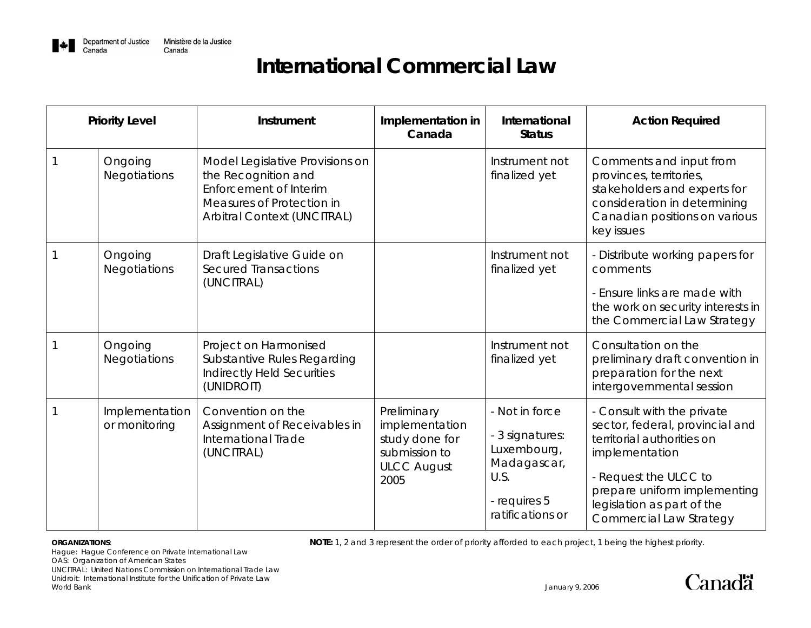

| <b>Priority Level</b>           | Instrument                                                                                                                                   | Implementation in<br>Canada                                                                    | International<br><b>Status</b>                                                                              | <b>Action Required</b>                                                                                                                                                                                                          |
|---------------------------------|----------------------------------------------------------------------------------------------------------------------------------------------|------------------------------------------------------------------------------------------------|-------------------------------------------------------------------------------------------------------------|---------------------------------------------------------------------------------------------------------------------------------------------------------------------------------------------------------------------------------|
| Ongoing<br>Negotiations         | Model Legislative Provisions on<br>the Recognition and<br>Enforcement of Interim<br>Measures of Protection in<br>Arbitral Context (UNCITRAL) |                                                                                                | Instrument not<br>finalized yet                                                                             | Comments and input from<br>provinces, territories,<br>stakeholders and experts for<br>consideration in determining<br>Canadian positions on various<br>key issues                                                               |
| Ongoing<br>Negotiations         | Draft Legislative Guide on<br><b>Secured Transactions</b><br>(UNCITRAL)                                                                      |                                                                                                | Instrument not<br>finalized yet                                                                             | - Distribute working papers for<br>comments<br>- Ensure links are made with<br>the work on security interests in<br>the Commercial Law Strategy                                                                                 |
| Ongoing<br>Negotiations         | Project on Harmonised<br>Substantive Rules Regarding<br>Indirectly Held Securities<br>(UNIDROIT)                                             |                                                                                                | Instrument not<br>finalized yet                                                                             | Consultation on the<br>preliminary draft convention in<br>preparation for the next<br>intergovernmental session                                                                                                                 |
| Implementation<br>or monitoring | Convention on the<br>Assignment of Receivables in<br>International Trade<br>(UNCITRAL)                                                       | Preliminary<br>implementation<br>study done for<br>submission to<br><b>ULCC August</b><br>2005 | - Not in force<br>- 3 signatures:<br>Luxembourg,<br>Madagascar,<br>U.S.<br>- requires 5<br>ratifications or | - Consult with the private<br>sector, federal, provincial and<br>territorial authorities on<br>implementation<br>- Request the ULCC to<br>prepare uniform implementing<br>legislation as part of the<br>Commercial Law Strategy |

**ORGANIZATIONS: NOTE:** 1, 2 and 3 represent the order of priority afforded to each project, 1 being the highest priority.

Hague: Hague Conference on Private International Law OAS: Organization of American States UNCITRAL: United Nations Commission on International Trade Law

Unidroit: International Institute for the Unification of Private Law World Bank January 9, 2006

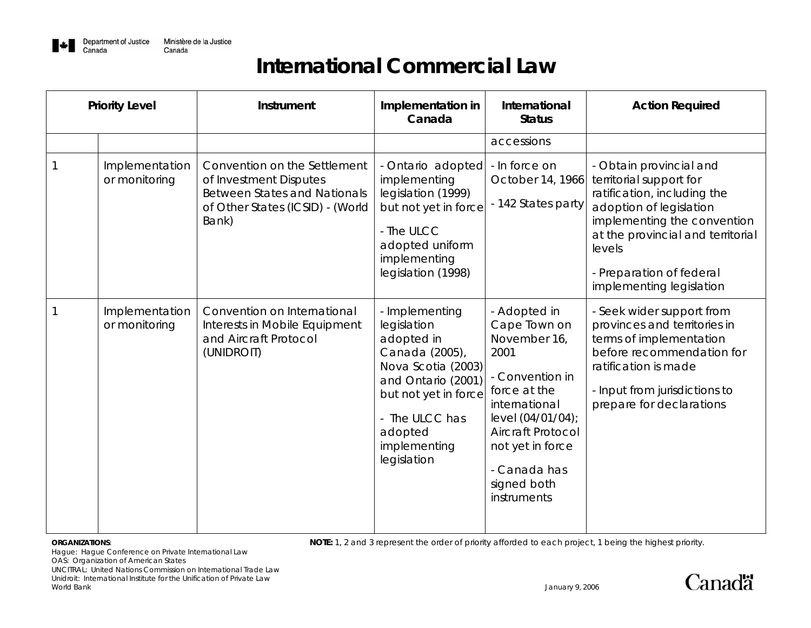

| <b>Priority Level</b> |                                 | Instrument                                                                                                                                 | Implementation in<br>Canada                                                                                                                                                                   | International<br><b>Status</b>                                                                                                                                                                                       | <b>Action Required</b>                                                                                                                                                                                                                             |
|-----------------------|---------------------------------|--------------------------------------------------------------------------------------------------------------------------------------------|-----------------------------------------------------------------------------------------------------------------------------------------------------------------------------------------------|----------------------------------------------------------------------------------------------------------------------------------------------------------------------------------------------------------------------|----------------------------------------------------------------------------------------------------------------------------------------------------------------------------------------------------------------------------------------------------|
|                       | Implementation<br>or monitoring | Convention on the Settlement<br>of Investment Disputes<br><b>Between States and Nationals</b><br>of Other States (ICSID) - (World<br>Bank) | - Ontario adopted<br>implementing<br>legislation (1999)<br>but not yet in force<br>- The ULCC<br>adopted uniform<br>implementing<br>legislation (1998)                                        | accessions<br>- In force on<br>October 14, 1966<br>- 142 States party                                                                                                                                                | - Obtain provincial and<br>territorial support for<br>ratification, including the<br>adoption of legislation<br>implementing the convention<br>at the provincial and territorial<br>levels<br>- Preparation of federal<br>implementing legislation |
|                       | Implementation<br>or monitoring | Convention on International<br>Interests in Mobile Equipment<br>and Aircraft Protocol<br>(UNIDROIT)                                        | - Implementing<br>legislation<br>adopted in<br>Canada (2005),<br>Nova Scotia (2003)<br>and Ontario (2001)<br>but not yet in force<br>- The ULCC has<br>adopted<br>implementing<br>legislation | - Adopted in<br>Cape Town on<br>November 16,<br>2001<br>- Convention in<br>force at the<br>international<br>level (04/01/04);<br>Aircraft Protocol<br>not yet in force<br>- Canada has<br>signed both<br>instruments | - Seek wider support from<br>provinces and territories in<br>terms of implementation<br>before recommendation for<br>ratification is made<br>- Input from jurisdictions to<br>prepare for declarations                                             |

**ORGANIZATIONS: NOTE:** 1, 2 and 3 represent the order of priority afforded to each project, 1 being the highest priority.

Hague: Hague Conference on Private International Law OAS: Organization of American States UNCITRAL: United Nations Commission on International Trade Law Unidroit: International Institute for the Unification of Private Law World Bank January 9, 2006

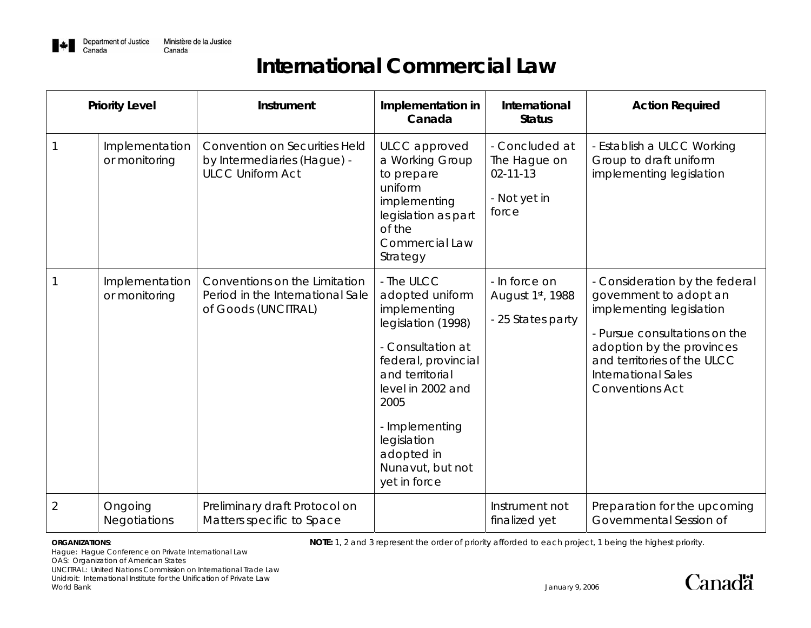

|                | <b>Priority Level</b>           | Instrument                                                                                     | Implementation in<br>Canada                                                                                                                                                                                                                        | International<br><b>Status</b>                                            | <b>Action Required</b>                                                                                                                                                                                                                    |
|----------------|---------------------------------|------------------------------------------------------------------------------------------------|----------------------------------------------------------------------------------------------------------------------------------------------------------------------------------------------------------------------------------------------------|---------------------------------------------------------------------------|-------------------------------------------------------------------------------------------------------------------------------------------------------------------------------------------------------------------------------------------|
|                | Implementation<br>or monitoring | <b>Convention on Securities Held</b><br>by Intermediaries (Hague) -<br><b>ULCC Uniform Act</b> | ULCC approved<br>a Working Group<br>to prepare<br>uniform<br>implementing<br>legislation as part<br>of the<br><b>Commercial Law</b><br>Strategy                                                                                                    | - Concluded at<br>The Hague on<br>$02 - 11 - 13$<br>- Not yet in<br>force | - Establish a ULCC Working<br>Group to draft uniform<br>implementing legislation                                                                                                                                                          |
|                | Implementation<br>or monitoring | Conventions on the Limitation<br>Period in the International Sale<br>of Goods (UNCITRAL)       | - The ULCC<br>adopted uniform<br>implementing<br>legislation (1998)<br>- Consultation at<br>federal, provincial<br>and territorial<br>level in 2002 and<br>2005<br>- Implementing<br>legislation<br>adopted in<br>Nunavut, but not<br>yet in force | - In force on<br>August 1st, 1988<br>- 25 States party                    | - Consideration by the federal<br>government to adopt an<br>implementing legislation<br>- Pursue consultations on the<br>adoption by the provinces<br>and territories of the ULCC<br><b>International Sales</b><br><b>Conventions Act</b> |
| $\overline{2}$ | Ongoing<br><b>Negotiations</b>  | Preliminary draft Protocol on<br>Matters specific to Space                                     |                                                                                                                                                                                                                                                    | Instrument not<br>finalized yet                                           | Preparation for the upcoming<br>Governmental Session of                                                                                                                                                                                   |

**ORGANIZATIONS: NOTE:** 1, 2 and 3 represent the order of priority afforded to each project, 1 being the highest priority.

Hague: Hague Conference on Private International Law

OAS: Organization of American States

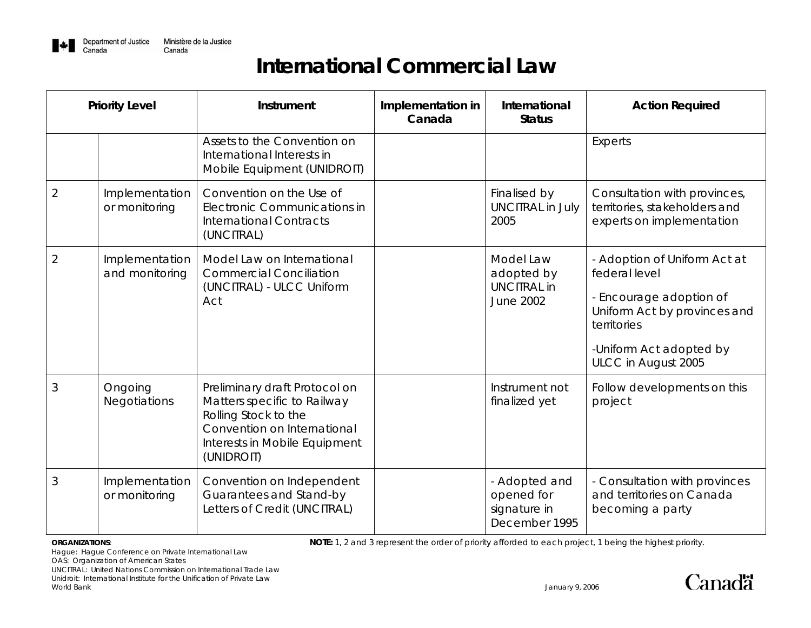

| <b>Priority Level</b> |                                  | Instrument                                                                                                                                                         | Implementation in<br>Canada | International<br><b>Status</b>                                    | <b>Action Required</b>                                                                                                                                                    |
|-----------------------|----------------------------------|--------------------------------------------------------------------------------------------------------------------------------------------------------------------|-----------------------------|-------------------------------------------------------------------|---------------------------------------------------------------------------------------------------------------------------------------------------------------------------|
|                       |                                  | Assets to the Convention on<br>International Interests in<br>Mobile Equipment (UNIDROIT)                                                                           |                             |                                                                   | Experts                                                                                                                                                                   |
| $\overline{2}$        | Implementation<br>or monitoring  | Convention on the Use of<br>Electronic Communications in<br><b>International Contracts</b><br>(UNCITRAL)                                                           |                             | Finalised by<br><b>UNCITRAL in July</b><br>2005                   | Consultation with provinces,<br>territories, stakeholders and<br>experts on implementation                                                                                |
| $\overline{2}$        | Implementation<br>and monitoring | Model Law on International<br><b>Commercial Conciliation</b><br>(UNCITRAL) - ULCC Uniform<br>Act                                                                   |                             | Model Law<br>adopted by<br><b>UNCITRAL in</b><br><b>June 2002</b> | - Adoption of Uniform Act at<br>federal level<br>- Encourage adoption of<br>Uniform Act by provinces and<br>territories<br>-Uniform Act adopted by<br>ULCC in August 2005 |
| 3                     | Ongoing<br><b>Negotiations</b>   | Preliminary draft Protocol on<br>Matters specific to Railway<br>Rolling Stock to the<br>Convention on International<br>Interests in Mobile Equipment<br>(UNIDROIT) |                             | Instrument not<br>finalized yet                                   | Follow developments on this<br>project                                                                                                                                    |
| 3                     | Implementation<br>or monitoring  | Convention on Independent<br>Guarantees and Stand-by<br>Letters of Credit (UNCITRAL)                                                                               |                             | - Adopted and<br>opened for<br>signature in<br>December 1995      | - Consultation with provinces<br>and territories on Canada<br>becoming a party                                                                                            |

**ORGANIZATIONS: NOTE:** 1, 2 and 3 represent the order of priority afforded to each project, 1 being the highest priority.

Hague: Hague Conference on Private International Law

OAS: Organization of American States

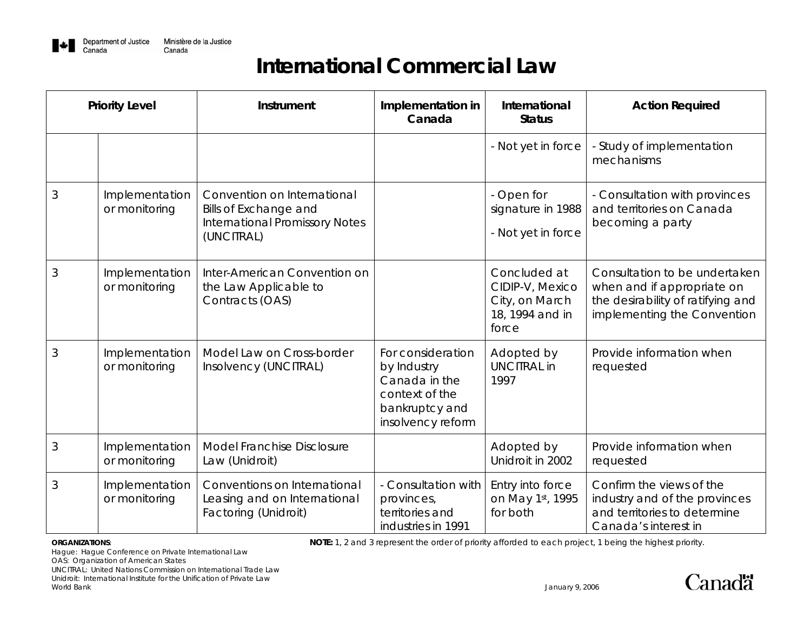

| <b>Priority Level</b> |                                 | Instrument                                                                                                  | Implementation in<br>Canada                                                                                | International<br><b>Status</b>                                                | <b>Action Required</b>                                                                                                          |
|-----------------------|---------------------------------|-------------------------------------------------------------------------------------------------------------|------------------------------------------------------------------------------------------------------------|-------------------------------------------------------------------------------|---------------------------------------------------------------------------------------------------------------------------------|
|                       |                                 |                                                                                                             |                                                                                                            | - Not yet in force                                                            | - Study of implementation<br>mechanisms                                                                                         |
| 3                     | Implementation<br>or monitoring | Convention on International<br>Bills of Exchange and<br><b>International Promissory Notes</b><br>(UNCITRAL) |                                                                                                            | - Open for<br>signature in 1988<br>- Not yet in force                         | - Consultation with provinces<br>and territories on Canada<br>becoming a party                                                  |
| 3                     | Implementation<br>or monitoring | Inter-American Convention on<br>the Law Applicable to<br>Contracts (OAS)                                    |                                                                                                            | Concluded at<br>CIDIP-V, Mexico<br>City, on March<br>18, 1994 and in<br>force | Consultation to be undertaken<br>when and if appropriate on<br>the desirability of ratifying and<br>implementing the Convention |
| 3                     | Implementation<br>or monitoring | Model Law on Cross-border<br>Insolvency (UNCITRAL)                                                          | For consideration<br>by Industry<br>Canada in the<br>context of the<br>bankruptcy and<br>insolvency reform | Adopted by<br><b>UNCITRAL in</b><br>1997                                      | Provide information when<br>requested                                                                                           |
| 3                     | Implementation<br>or monitoring | Model Franchise Disclosure<br>Law (Unidroit)                                                                |                                                                                                            | Adopted by<br>Unidroit in 2002                                                | Provide information when<br>requested                                                                                           |
| 3                     | Implementation<br>or monitoring | Conventions on International<br>Leasing and on International<br>Factoring (Unidroit)                        | - Consultation with<br>provinces,<br>territories and<br>industries in 1991                                 | Entry into force<br>on May 1st, 1995<br>for both                              | Confirm the views of the<br>industry and of the provinces<br>and territories to determine<br>Canada's interest in               |

**ORGANIZATIONS: NOTE:** 1, 2 and 3 represent the order of priority afforded to each project, 1 being the highest priority.

Hague: Hague Conference on Private International Law

OAS: Organization of American States

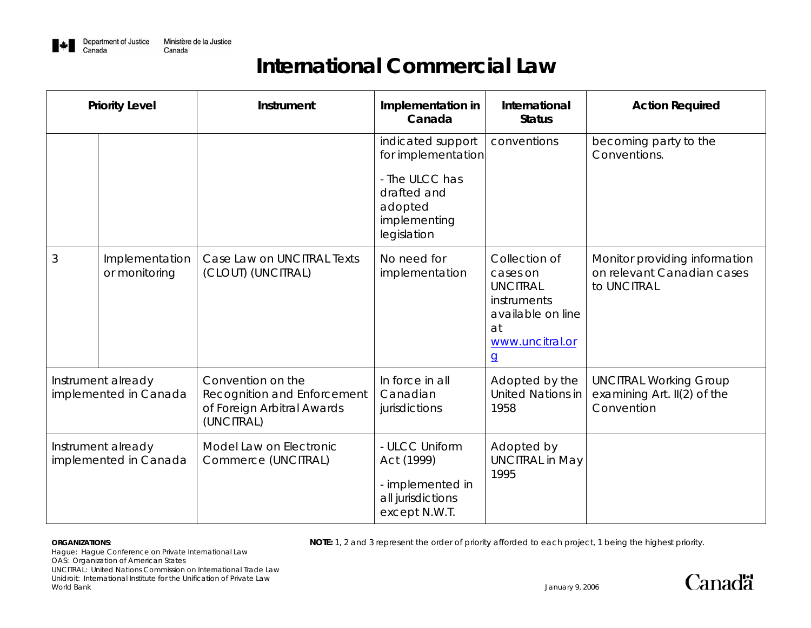

|                                             | <b>Priority Level</b>           | <b>Instrument</b>                                                                            | Implementation in<br>Canada                                                                                        | International<br><b>Status</b>                                                                                              | <b>Action Required</b>                                                       |
|---------------------------------------------|---------------------------------|----------------------------------------------------------------------------------------------|--------------------------------------------------------------------------------------------------------------------|-----------------------------------------------------------------------------------------------------------------------------|------------------------------------------------------------------------------|
|                                             |                                 |                                                                                              | indicated support<br>for implementation<br>- The ULCC has<br>drafted and<br>adopted<br>implementing<br>legislation | conventions                                                                                                                 | becoming party to the<br>Conventions.                                        |
| 3                                           | Implementation<br>or monitoring | Case Law on UNCITRAL Texts<br>(CLOUT) (UNCITRAL)                                             | No need for<br>implementation                                                                                      | Collection of<br>cases on<br><b>UNCITRAL</b><br>instruments<br>available on line<br>at<br>www.uncitral.or<br>$\overline{q}$ | Monitor providing information<br>on relevant Canadian cases<br>to UNCITRAL   |
| Instrument already<br>implemented in Canada |                                 | Convention on the<br>Recognition and Enforcement<br>of Foreign Arbitral Awards<br>(UNCITRAL) | In force in all<br>Canadian<br>jurisdictions                                                                       | Adopted by the<br><b>United Nations in</b><br>1958                                                                          | <b>UNCITRAL Working Group</b><br>examining Art. $II(2)$ of the<br>Convention |
| Instrument already<br>implemented in Canada |                                 | Model Law on Electronic<br>Commerce (UNCITRAL)                                               | - ULCC Uniform<br>Act (1999)<br>- implemented in<br>all jurisdictions<br>except N.W.T.                             | Adopted by<br><b>UNCITRAL in May</b><br>1995                                                                                |                                                                              |

**ORGANIZATIONS: NOTE:** 1, 2 and 3 represent the order of priority afforded to each project, 1 being the highest priority.

Hague: Hague Conference on Private International Law OAS: Organization of American States UNCITRAL: United Nations Commission on International Trade Law Unidroit: International Institute for the Unification of Private Law World Bank January 9, 2006

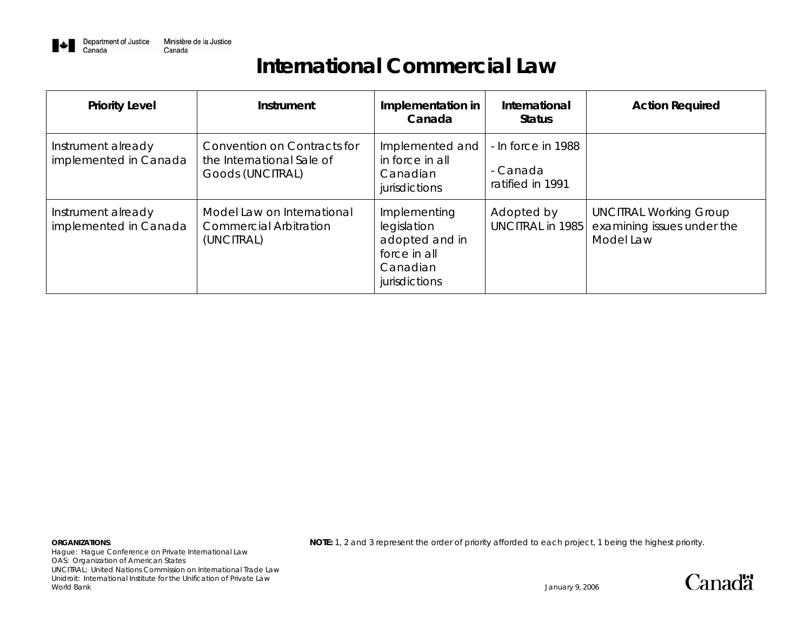

| <b>Priority Level</b>                       | Instrument                                                                   | Implementation in<br>Canada                                                                | International<br><b>Status</b>                     | <b>Action Required</b>                                                   |
|---------------------------------------------|------------------------------------------------------------------------------|--------------------------------------------------------------------------------------------|----------------------------------------------------|--------------------------------------------------------------------------|
| Instrument already<br>implemented in Canada | Convention on Contracts for<br>the International Sale of<br>Goods (UNCITRAL) | Implemented and<br>in force in all<br>Canadian<br>jurisdictions                            | - In force in 1988<br>- Canada<br>ratified in 1991 |                                                                          |
| Instrument already<br>implemented in Canada | Model Law on International<br><b>Commercial Arbitration</b><br>(UNCITRAL)    | Implementing<br>legislation<br>adopted and in<br>force in all<br>Canadian<br>jurisdictions | Adopted by<br><b>UNCITRAL in 1985</b>              | <b>UNCITRAL Working Group</b><br>examining issues under the<br>Model Law |

Hague: Hague Conference on Private International Law OAS: Organization of American States UNCITRAL: United Nations Commission on International Trade Law Unidroit: International Institute for the Unification of Private Law World Bank January 9, 2006

**ORGANIZATIONS: NOTE:** 1, 2 and 3 represent the order of priority afforded to each project, 1 being the highest priority.

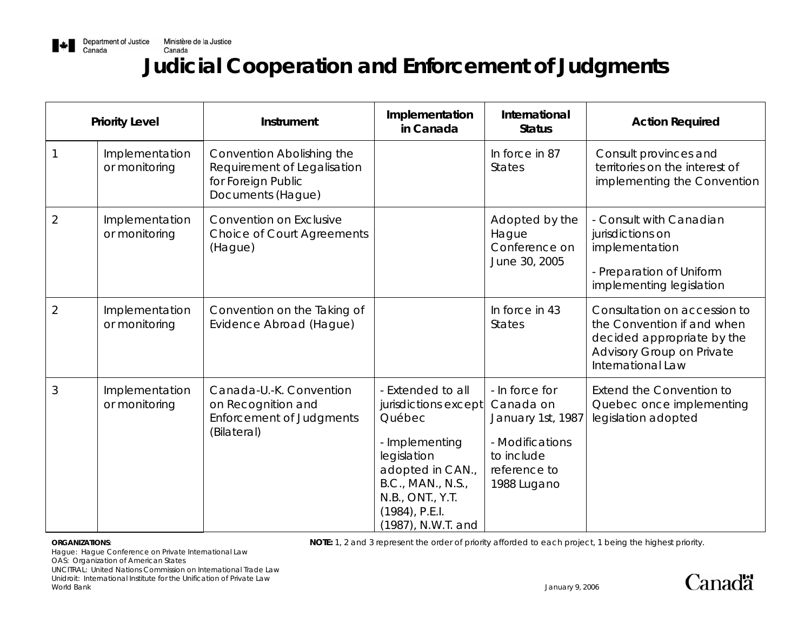

# **Judicial Cooperation and Enforcement of Judgments**

| <b>Priority Level</b> |                                 | Instrument                                                                                          | Implementation<br>in Canada                                                                                                                                                                  | International<br><b>Status</b>                                                                                   | <b>Action Required</b>                                                                                                                     |
|-----------------------|---------------------------------|-----------------------------------------------------------------------------------------------------|----------------------------------------------------------------------------------------------------------------------------------------------------------------------------------------------|------------------------------------------------------------------------------------------------------------------|--------------------------------------------------------------------------------------------------------------------------------------------|
|                       | Implementation<br>or monitoring | Convention Abolishing the<br>Requirement of Legalisation<br>for Foreign Public<br>Documents (Hague) |                                                                                                                                                                                              | In force in 87<br><b>States</b>                                                                                  | Consult provinces and<br>territories on the interest of<br>implementing the Convention                                                     |
| $\overline{2}$        | Implementation<br>or monitoring | Convention on Exclusive<br><b>Choice of Court Agreements</b><br>(Hague)                             |                                                                                                                                                                                              | Adopted by the<br>Hague<br>Conference on<br>June 30, 2005                                                        | - Consult with Canadian<br>jurisdictions on<br>implementation<br>- Preparation of Uniform<br>implementing legislation                      |
| $\overline{2}$        | Implementation<br>or monitoring | Convention on the Taking of<br>Evidence Abroad (Hague)                                              |                                                                                                                                                                                              | In force in 43<br><b>States</b>                                                                                  | Consultation on accession to<br>the Convention if and when<br>decided appropriate by the<br>Advisory Group on Private<br>International Law |
| 3                     | Implementation<br>or monitoring | Canada-U.-K. Convention<br>on Recognition and<br><b>Enforcement of Judgments</b><br>(Bilateral)     | - Extended to all<br>jurisdictions except<br>Québec<br>- Implementing<br>legislation<br>adopted in CAN.,<br>B.C., MAN., N.S.,<br>N.B., ONT., Y.T.<br>$(1984)$ , P.E.I.<br>(1987), N.W.T. and | - In force for<br>Canada on<br>January 1st, 1987<br>- Modifications<br>to include<br>reference to<br>1988 Lugano | Extend the Convention to<br>Quebec once implementing<br>legislation adopted                                                                |

**ORGANIZATIONS: NOTE:** 1, 2 and 3 represent the order of priority afforded to each project, 1 being the highest priority.

Hague: Hague Conference on Private International Law

OAS: Organization of American States

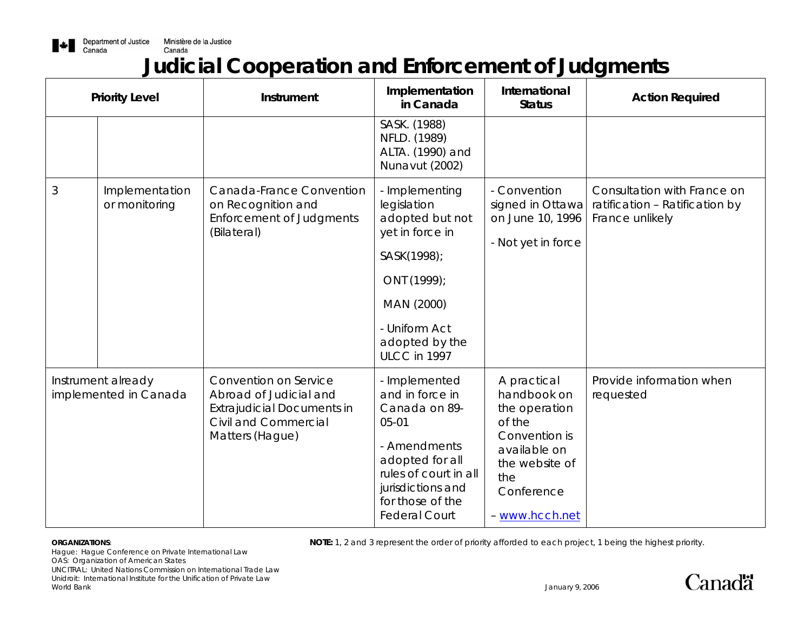

# **Judicial Cooperation and Enforcement of Judgments**

| <b>Priority Level</b>                       |                                 | Instrument                                                                                                                      | Implementation<br>in Canada                                                                                                                                                                 | International<br><b>Status</b>                                                                                                                  | <b>Action Required</b>                                                           |
|---------------------------------------------|---------------------------------|---------------------------------------------------------------------------------------------------------------------------------|---------------------------------------------------------------------------------------------------------------------------------------------------------------------------------------------|-------------------------------------------------------------------------------------------------------------------------------------------------|----------------------------------------------------------------------------------|
|                                             |                                 |                                                                                                                                 | SASK. (1988)<br>NFLD. (1989)<br>ALTA. (1990) and<br>Nunavut (2002)                                                                                                                          |                                                                                                                                                 |                                                                                  |
| $\mathfrak{Z}$                              | Implementation<br>or monitoring | Canada-France Convention<br>on Recognition and<br><b>Enforcement of Judgments</b><br>(Bilateral)                                | - Implementing<br>legislation<br>adopted but not<br>yet in force in<br>SASK(1998);<br>ONT (1999);<br>MAN (2000)<br>- Uniform Act<br>adopted by the<br>ULCC in 1997                          | - Convention<br>signed in Ottawa<br>on June 10, 1996<br>- Not yet in force                                                                      | Consultation with France on<br>ratification - Ratification by<br>France unlikely |
| Instrument already<br>implemented in Canada |                                 | Convention on Service<br>Abroad of Judicial and<br><b>Extrajudicial Documents in</b><br>Civil and Commercial<br>Matters (Hague) | - Implemented<br>and in force in<br>Canada on 89-<br>$05 - 01$<br>- Amendments<br>adopted for all<br>rules of court in all<br>jurisdictions and<br>for those of the<br><b>Federal Court</b> | A practical<br>handbook on<br>the operation<br>of the<br>Convention is<br>available on<br>the website of<br>the<br>Conference<br>- www.hcch.net | Provide information when<br>requested                                            |

**ORGANIZATIONS: NOTE:** 1, 2 and 3 represent the order of priority afforded to each project, 1 being the highest priority.

Hague: Hague Conference on Private International Law OAS: Organization of American States UNCITRAL: United Nations Commission on International Trade Law Unidroit: International Institute for the Unification of Private Law World Bank January 9, 2006

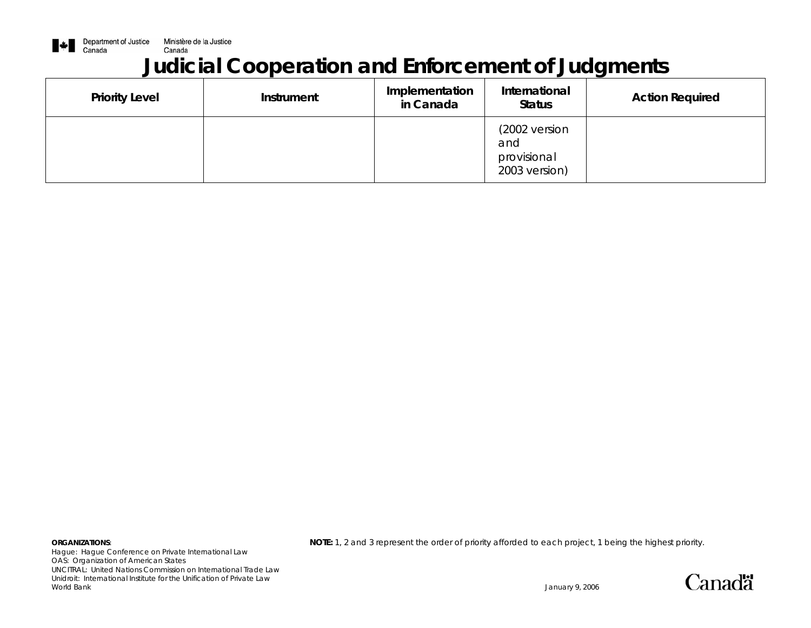

# **Judicial Cooperation and Enforcement of Judgments**

| <b>Priority Level</b> | <b>Instrument</b> | Implementation<br>in Canada | International<br><b>Status</b>                       | <b>Action Required</b> |
|-----------------------|-------------------|-----------------------------|------------------------------------------------------|------------------------|
|                       |                   |                             | (2002 version<br>and<br>provisional<br>2003 version) |                        |

Hague: Hague Conference on Private International Law OAS: Organization of American States UNCITRAL: United Nations Commission on International Trade Law Unidroit: International Institute for the Unification of Private Law World Bank January 9, 2006

**ORGANIZATIONS: NOTE:** 1, 2 and 3 represent the order of priority afforded to each project, 1 being the highest priority.



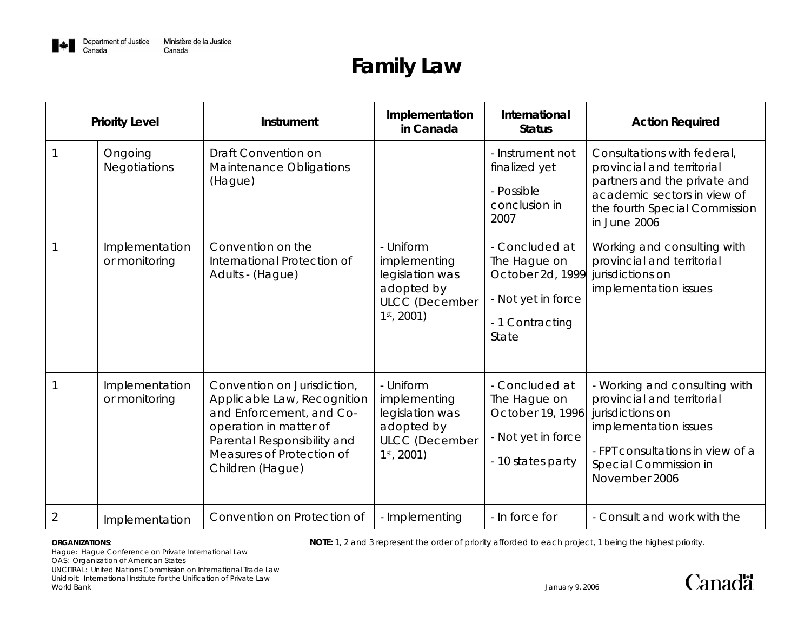

# **Family Law**

| <b>Priority Level</b> |                                 | Instrument                                                                                                                                                                                       | Implementation<br>in Canada                                                                          | International<br><b>Status</b>                                                                       | <b>Action Required</b>                                                                                                                                                                 |
|-----------------------|---------------------------------|--------------------------------------------------------------------------------------------------------------------------------------------------------------------------------------------------|------------------------------------------------------------------------------------------------------|------------------------------------------------------------------------------------------------------|----------------------------------------------------------------------------------------------------------------------------------------------------------------------------------------|
|                       | Ongoing<br>Negotiations         | Draft Convention on<br>Maintenance Obligations<br>(Hague)                                                                                                                                        |                                                                                                      | - Instrument not<br>finalized yet<br>- Possible<br>conclusion in<br>2007                             | Consultations with federal,<br>provincial and territorial<br>partners and the private and<br>academic sectors in view of<br>the fourth Special Commission<br>in June 2006              |
|                       | Implementation<br>or monitoring | Convention on the<br>International Protection of<br>Adults - (Hague)                                                                                                                             | - Uniform<br>implementing<br>legislation was<br>adopted by<br><b>ULCC</b> (December<br>$1st$ , 2001) | - Concluded at<br>The Hague on<br>October 2d, 1999<br>- Not yet in force<br>- 1 Contracting<br>State | Working and consulting with<br>provincial and territorial<br>jurisdictions on<br>implementation issues                                                                                 |
|                       | Implementation<br>or monitoring | Convention on Jurisdiction,<br>Applicable Law, Recognition<br>and Enforcement, and Co-<br>operation in matter of<br>Parental Responsibility and<br>Measures of Protection of<br>Children (Hague) | - Uniform<br>implementing<br>legislation was<br>adopted by<br><b>ULCC</b> (December<br>$1st$ , 2001) | - Concluded at<br>The Hague on<br>October 19, 1996<br>- Not yet in force<br>- 10 states party        | - Working and consulting with<br>provincial and territorial<br>jurisdictions on<br>implementation issues<br>- FPT consultations in view of a<br>Special Commission in<br>November 2006 |
| $\overline{2}$        | Implementation                  | Convention on Protection of                                                                                                                                                                      | - Implementing                                                                                       | - In force for                                                                                       | - Consult and work with the                                                                                                                                                            |

**ORGANIZATIONS: NOTE:** 1, 2 and 3 represent the order of priority afforded to each project, 1 being the highest priority.

Hague: Hague Conference on Private International Law

OAS: Organization of American States

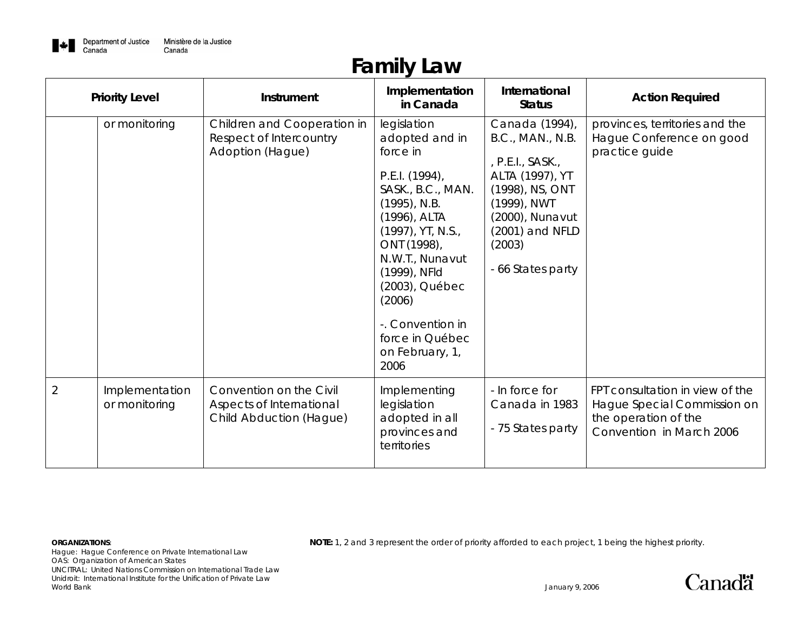

# **Family Law**

|                | <b>Priority Level</b>           | <b>Instrument</b>                                                              | Implementation<br>in Canada                                                                                                                                                                                                                                                                 | International<br><b>Status</b>                                                                                                                                                   | <b>Action Required</b>                                                                                             |
|----------------|---------------------------------|--------------------------------------------------------------------------------|---------------------------------------------------------------------------------------------------------------------------------------------------------------------------------------------------------------------------------------------------------------------------------------------|----------------------------------------------------------------------------------------------------------------------------------------------------------------------------------|--------------------------------------------------------------------------------------------------------------------|
|                | or monitoring                   | Children and Cooperation in<br>Respect of Intercountry<br>Adoption (Hague)     | legislation<br>adopted and in<br>force in<br>P.E.I. (1994),<br>SASK., B.C., MAN.<br>$(1995)$ , N.B.<br>(1996), ALTA<br>$(1997)$ , YT, N.S.,<br>ONT (1998),<br>N.W.T., Nunavut<br>(1999), NFId<br>(2003), Québec<br>(2006)<br>-. Convention in<br>force in Québec<br>on February, 1,<br>2006 | Canada (1994),<br>B.C., MAN., N.B.<br>, P.E.I., SASK.,<br>ALTA (1997), YT<br>(1998), NS, ONT<br>(1999), NWT<br>(2000), Nunavut<br>(2001) and NFLD<br>(2003)<br>- 66 States party | provinces, territories and the<br>Hague Conference on good<br>practice guide                                       |
| $\overline{2}$ | Implementation<br>or monitoring | Convention on the Civil<br>Aspects of International<br>Child Abduction (Hague) | Implementing<br>legislation<br>adopted in all<br>provinces and<br>territories                                                                                                                                                                                                               | - In force for<br>Canada in 1983<br>- 75 States party                                                                                                                            | FPT consultation in view of the<br>Hague Special Commission on<br>the operation of the<br>Convention in March 2006 |

Hague: Hague Conference on Private International Law OAS: Organization of American States UNCITRAL: United Nations Commission on International Trade Law Unidroit: International Institute for the Unification of Private Law World Bank January 9, 2006

**ORGANIZATIONS: NOTE:** 1, 2 and 3 represent the order of priority afforded to each project, 1 being the highest priority.

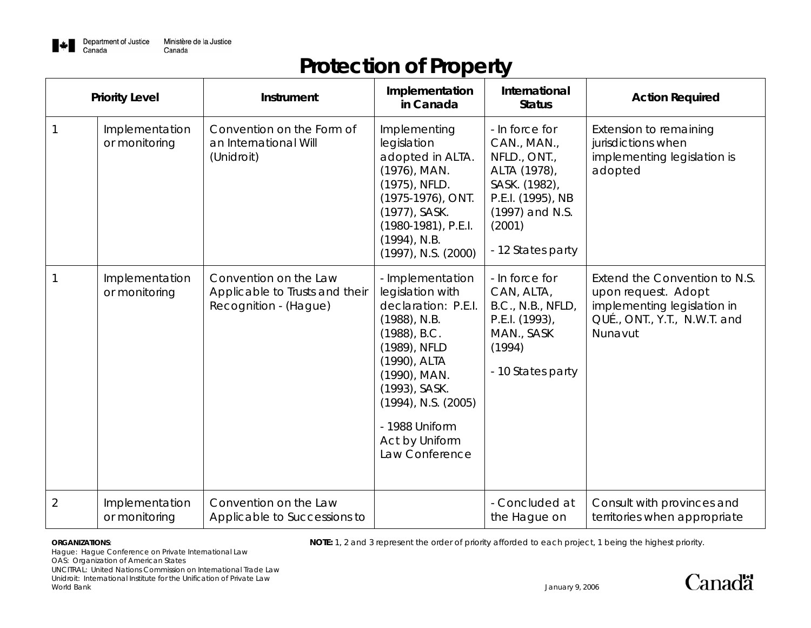

# **Protection of Property**

| <b>Priority Level</b> |                                 | Instrument                                                                       | Implementation<br>in Canada                                                                                                                                                                                                                          | International<br><b>Status</b>                                                                                                                        | <b>Action Required</b>                                                                                                         |
|-----------------------|---------------------------------|----------------------------------------------------------------------------------|------------------------------------------------------------------------------------------------------------------------------------------------------------------------------------------------------------------------------------------------------|-------------------------------------------------------------------------------------------------------------------------------------------------------|--------------------------------------------------------------------------------------------------------------------------------|
| $\mathbf 1$           | Implementation<br>or monitoring | Convention on the Form of<br>an International Will<br>(Unidroit)                 | Implementing<br>legislation<br>adopted in ALTA.<br>(1976), MAN.<br>(1975), NFLD.<br>(1975-1976), ONT.<br>(1977), SASK.<br>(1980-1981), P.E.I.<br>$(1994)$ , N.B.<br>$(1997)$ , N.S. $(2000)$                                                         | - In force for<br>CAN., MAN.,<br>NFLD., ONT.,<br>ALTA (1978),<br>SASK. (1982),<br>P.E.I. (1995), NB<br>(1997) and N.S.<br>(2001)<br>- 12 States party | Extension to remaining<br>jurisdictions when<br>implementing legislation is<br>adopted                                         |
| $\mathbf{1}$          | Implementation<br>or monitoring | Convention on the Law<br>Applicable to Trusts and their<br>Recognition - (Hague) | - Implementation<br>legislation with<br>declaration: P.E.I.<br>$(1988)$ , N.B.<br>$(1988)$ , B.C.<br>(1989), NFLD<br>(1990), ALTA<br>(1990), MAN.<br>(1993), SASK.<br>$(1994)$ , N.S. $(2005)$<br>- 1988 Uniform<br>Act by Uniform<br>Law Conference | - In force for<br>CAN, ALTA,<br>B.C., N.B., NFLD,<br>P.E.I. (1993),<br>MAN., SASK<br>(1994)<br>- 10 States party                                      | Extend the Convention to N.S.<br>upon request. Adopt<br>implementing legislation in<br>QUÉ., ONT., Y.T., N.W.T. and<br>Nunavut |
| $\overline{2}$        | Implementation<br>or monitoring | Convention on the Law<br>Applicable to Successions to                            |                                                                                                                                                                                                                                                      | - Concluded at<br>the Hague on                                                                                                                        | Consult with provinces and<br>territories when appropriate                                                                     |

**ORGANIZATIONS: NOTE:** 1, 2 and 3 represent the order of priority afforded to each project, 1 being the highest priority.

Hague: Hague Conference on Private International Law

OAS: Organization of American States

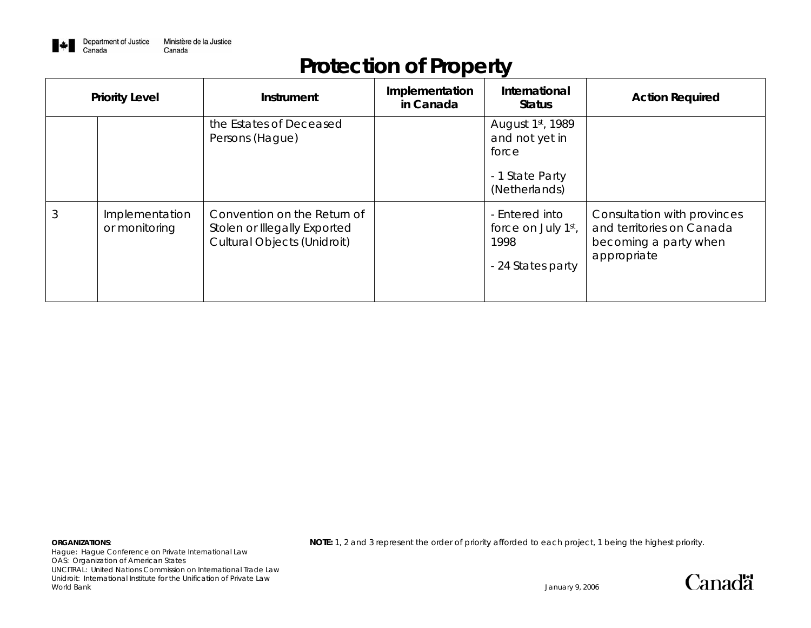

# **Protection of Property**

| <b>Priority Level</b> |                                 | <b>Instrument</b>                                                                                 | Implementation<br>in Canada | International<br><b>Status</b>                                                  | <b>Action Required</b>                                                                           |
|-----------------------|---------------------------------|---------------------------------------------------------------------------------------------------|-----------------------------|---------------------------------------------------------------------------------|--------------------------------------------------------------------------------------------------|
|                       |                                 | the Estates of Deceased<br>Persons (Hague)                                                        |                             | August 1st, 1989<br>and not yet in<br>force<br>- 1 State Party<br>(Netherlands) |                                                                                                  |
|                       | Implementation<br>or monitoring | Convention on the Return of<br>Stolen or Illegally Exported<br><b>Cultural Objects (Unidroit)</b> |                             | - Entered into<br>force on July 1st,<br>1998<br>- 24 States party               | Consultation with provinces<br>and territories on Canada<br>becoming a party when<br>appropriate |

Hague: Hague Conference on Private International Law OAS: Organization of American States UNCITRAL: United Nations Commission on International Trade Law Unidroit: International Institute for the Unification of Private Law World Bank January 9, 2006

**ORGANIZATIONS: NOTE:** 1, 2 and 3 represent the order of priority afforded to each project, 1 being the highest priority.

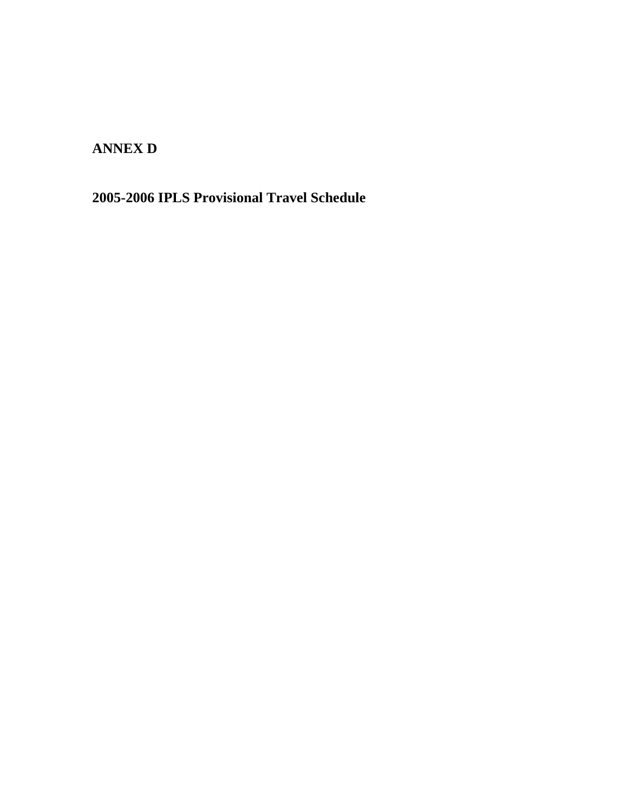**ANNEX D** 

**2005-2006 IPLS Provisional Travel Schedule**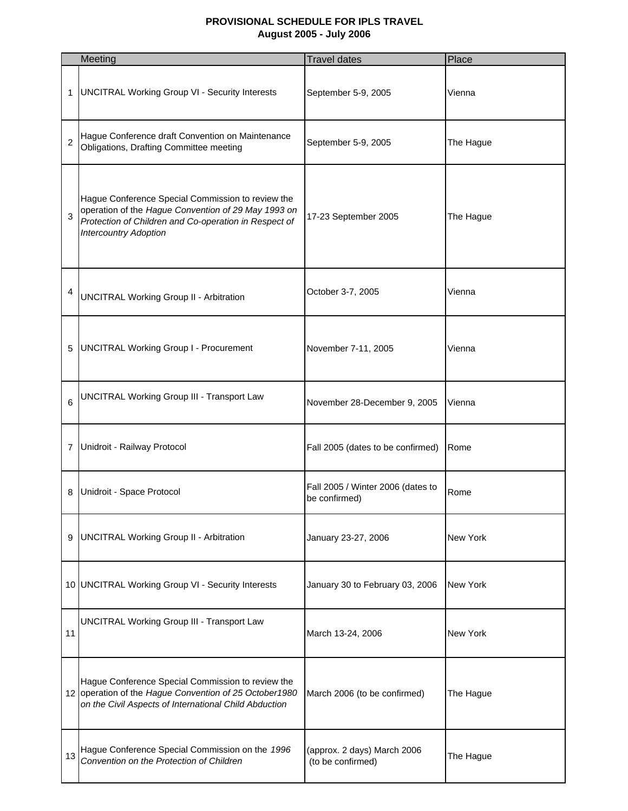#### **PROVISIONAL SCHEDULE FOR IPLS TRAVEL August 2005 - July 2006**

|                | Meeting                                                                                                                                                                                           | <b>Travel dates</b>                                | Place           |
|----------------|---------------------------------------------------------------------------------------------------------------------------------------------------------------------------------------------------|----------------------------------------------------|-----------------|
| 1              | <b>UNCITRAL Working Group VI - Security Interests</b>                                                                                                                                             | September 5-9, 2005                                | Vienna          |
| $\overline{2}$ | Hague Conference draft Convention on Maintenance<br>Obligations, Drafting Committee meeting                                                                                                       | September 5-9, 2005                                | The Hague       |
| 3              | Hague Conference Special Commission to review the<br>operation of the Hague Convention of 29 May 1993 on<br>Protection of Children and Co-operation in Respect of<br><b>Intercountry Adoption</b> | 17-23 September 2005                               | The Hague       |
| 4              | <b>UNCITRAL Working Group II - Arbitration</b>                                                                                                                                                    | October 3-7, 2005                                  | Vienna          |
| 5              | <b>UNCITRAL Working Group I - Procurement</b>                                                                                                                                                     | November 7-11, 2005                                | Vienna          |
| 6              | <b>UNCITRAL Working Group III - Transport Law</b>                                                                                                                                                 | November 28-December 9, 2005                       | Vienna          |
| 7              | Unidroit - Railway Protocol                                                                                                                                                                       | Fall 2005 (dates to be confirmed)                  | Rome            |
| 8              | Unidroit - Space Protocol                                                                                                                                                                         | Fall 2005 / Winter 2006 (dates to<br>be confirmed) | Rome            |
| 9              | <b>UNCITRAL Working Group II - Arbitration</b>                                                                                                                                                    | January 23-27, 2006                                | <b>New York</b> |
|                | 10 UNCITRAL Working Group VI - Security Interests                                                                                                                                                 | January 30 to February 03, 2006                    | New York        |
| 11             | <b>UNCITRAL Working Group III - Transport Law</b>                                                                                                                                                 | March 13-24, 2006                                  | <b>New York</b> |
|                | Hague Conference Special Commission to review the<br>12 operation of the Hague Convention of 25 October1980<br>on the Civil Aspects of International Child Abduction                              | March 2006 (to be confirmed)                       | The Hague       |
| 13             | Hague Conference Special Commission on the 1996<br>Convention on the Protection of Children                                                                                                       | (approx. 2 days) March 2006<br>(to be confirmed)   | The Hague       |